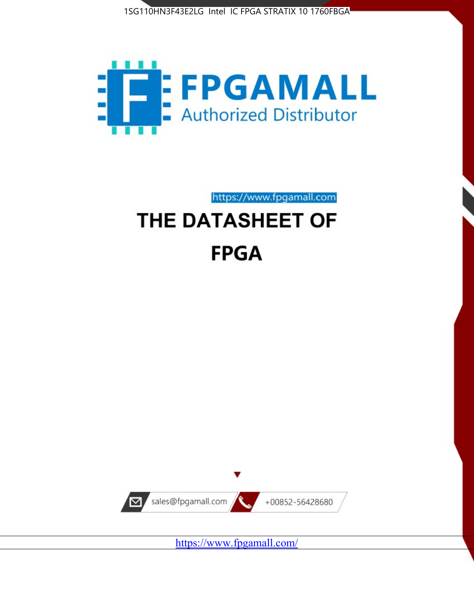



https://www.fpgamall.com

# THE DATASHEET OF **FPGA**



<https://www.fpgamall.com/>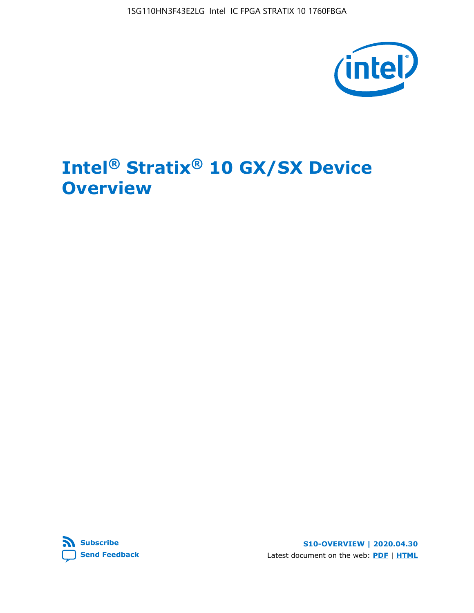1SG110HN3F43E2LG Intel IC FPGA STRATIX 10 1760FBGA



# **Intel® Stratix® 10 GX/SX Device Overview**



**S10-OVERVIEW | 2020.04.30** Latest document on the web: **[PDF](https://www.intel.com/content/dam/www/programmable/us/en/pdfs/literature/hb/stratix-10/s10-overview.pdf)** | **[HTML](https://www.intel.com/content/www/us/en/programmable/documentation/joc1442261161666.html)**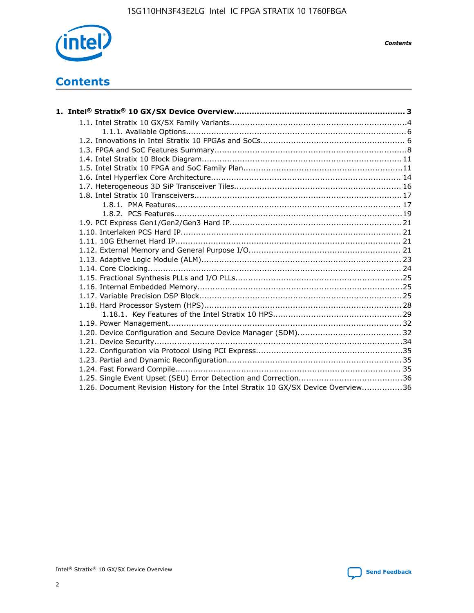

*Contents*

# **Contents**

| 1.26. Document Revision History for the Intel Stratix 10 GX/SX Device Overview36 |  |
|----------------------------------------------------------------------------------|--|

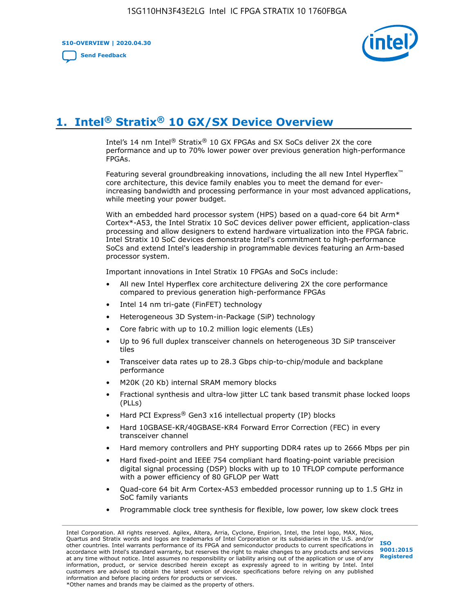**S10-OVERVIEW | 2020.04.30**

**[Send Feedback](mailto:FPGAtechdocfeedback@intel.com?subject=Feedback%20on%20Intel%20Stratix%2010%20GX/SX%20Device%20Overview%20(S10-OVERVIEW%202020.04.30)&body=We%20appreciate%20your%20feedback.%20In%20your%20comments,%20also%20specify%20the%20page%20number%20or%20paragraph.%20Thank%20you.)**



# **1. Intel® Stratix® 10 GX/SX Device Overview**

Intel's 14 nm Intel® Stratix® 10 GX FPGAs and SX SoCs deliver 2X the core performance and up to 70% lower power over previous generation high-performance FPGAs.

Featuring several groundbreaking innovations, including the all new Intel Hyperflex™ core architecture, this device family enables you to meet the demand for everincreasing bandwidth and processing performance in your most advanced applications, while meeting your power budget.

With an embedded hard processor system (HPS) based on a quad-core 64 bit Arm\* Cortex\*-A53, the Intel Stratix 10 SoC devices deliver power efficient, application-class processing and allow designers to extend hardware virtualization into the FPGA fabric. Intel Stratix 10 SoC devices demonstrate Intel's commitment to high-performance SoCs and extend Intel's leadership in programmable devices featuring an Arm-based processor system.

Important innovations in Intel Stratix 10 FPGAs and SoCs include:

- All new Intel Hyperflex core architecture delivering 2X the core performance compared to previous generation high-performance FPGAs
- Intel 14 nm tri-gate (FinFET) technology
- Heterogeneous 3D System-in-Package (SiP) technology
- Core fabric with up to 10.2 million logic elements (LEs)
- Up to 96 full duplex transceiver channels on heterogeneous 3D SiP transceiver tiles
- Transceiver data rates up to 28.3 Gbps chip-to-chip/module and backplane performance
- M20K (20 Kb) internal SRAM memory blocks
- Fractional synthesis and ultra-low jitter LC tank based transmit phase locked loops (PLLs)
- Hard PCI Express<sup>®</sup> Gen3 x16 intellectual property (IP) blocks
- Hard 10GBASE-KR/40GBASE-KR4 Forward Error Correction (FEC) in every transceiver channel
- Hard memory controllers and PHY supporting DDR4 rates up to 2666 Mbps per pin
- Hard fixed-point and IEEE 754 compliant hard floating-point variable precision digital signal processing (DSP) blocks with up to 10 TFLOP compute performance with a power efficiency of 80 GFLOP per Watt
- Quad-core 64 bit Arm Cortex-A53 embedded processor running up to 1.5 GHz in SoC family variants
- Programmable clock tree synthesis for flexible, low power, low skew clock trees

Intel Corporation. All rights reserved. Agilex, Altera, Arria, Cyclone, Enpirion, Intel, the Intel logo, MAX, Nios, Quartus and Stratix words and logos are trademarks of Intel Corporation or its subsidiaries in the U.S. and/or other countries. Intel warrants performance of its FPGA and semiconductor products to current specifications in accordance with Intel's standard warranty, but reserves the right to make changes to any products and services at any time without notice. Intel assumes no responsibility or liability arising out of the application or use of any information, product, or service described herein except as expressly agreed to in writing by Intel. Intel customers are advised to obtain the latest version of device specifications before relying on any published information and before placing orders for products or services. \*Other names and brands may be claimed as the property of others.

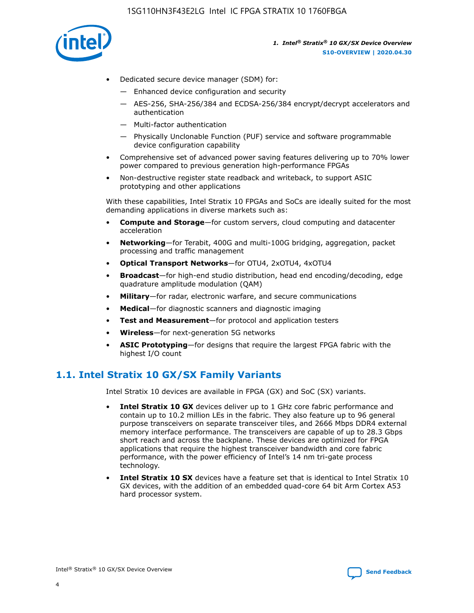

- Dedicated secure device manager (SDM) for:
	- Enhanced device configuration and security
	- AES-256, SHA-256/384 and ECDSA-256/384 encrypt/decrypt accelerators and authentication
	- Multi-factor authentication
	- Physically Unclonable Function (PUF) service and software programmable device configuration capability
- Comprehensive set of advanced power saving features delivering up to 70% lower power compared to previous generation high-performance FPGAs
- Non-destructive register state readback and writeback, to support ASIC prototyping and other applications

With these capabilities, Intel Stratix 10 FPGAs and SoCs are ideally suited for the most demanding applications in diverse markets such as:

- **Compute and Storage**—for custom servers, cloud computing and datacenter acceleration
- **Networking**—for Terabit, 400G and multi-100G bridging, aggregation, packet processing and traffic management
- **Optical Transport Networks**—for OTU4, 2xOTU4, 4xOTU4
- **Broadcast**—for high-end studio distribution, head end encoding/decoding, edge quadrature amplitude modulation (QAM)
- **Military**—for radar, electronic warfare, and secure communications
- **Medical**—for diagnostic scanners and diagnostic imaging
- **Test and Measurement**—for protocol and application testers
- **Wireless**—for next-generation 5G networks
- **ASIC Prototyping**—for designs that require the largest FPGA fabric with the highest I/O count

## **1.1. Intel Stratix 10 GX/SX Family Variants**

Intel Stratix 10 devices are available in FPGA (GX) and SoC (SX) variants.

- **Intel Stratix 10 GX** devices deliver up to 1 GHz core fabric performance and contain up to 10.2 million LEs in the fabric. They also feature up to 96 general purpose transceivers on separate transceiver tiles, and 2666 Mbps DDR4 external memory interface performance. The transceivers are capable of up to 28.3 Gbps short reach and across the backplane. These devices are optimized for FPGA applications that require the highest transceiver bandwidth and core fabric performance, with the power efficiency of Intel's 14 nm tri-gate process technology.
- **Intel Stratix 10 SX** devices have a feature set that is identical to Intel Stratix 10 GX devices, with the addition of an embedded quad-core 64 bit Arm Cortex A53 hard processor system.

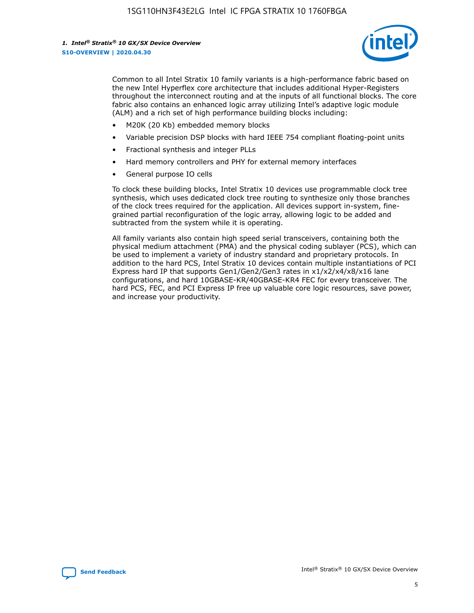

Common to all Intel Stratix 10 family variants is a high-performance fabric based on the new Intel Hyperflex core architecture that includes additional Hyper-Registers throughout the interconnect routing and at the inputs of all functional blocks. The core fabric also contains an enhanced logic array utilizing Intel's adaptive logic module (ALM) and a rich set of high performance building blocks including:

- M20K (20 Kb) embedded memory blocks
- Variable precision DSP blocks with hard IEEE 754 compliant floating-point units
- Fractional synthesis and integer PLLs
- Hard memory controllers and PHY for external memory interfaces
- General purpose IO cells

To clock these building blocks, Intel Stratix 10 devices use programmable clock tree synthesis, which uses dedicated clock tree routing to synthesize only those branches of the clock trees required for the application. All devices support in-system, finegrained partial reconfiguration of the logic array, allowing logic to be added and subtracted from the system while it is operating.

All family variants also contain high speed serial transceivers, containing both the physical medium attachment (PMA) and the physical coding sublayer (PCS), which can be used to implement a variety of industry standard and proprietary protocols. In addition to the hard PCS, Intel Stratix 10 devices contain multiple instantiations of PCI Express hard IP that supports Gen1/Gen2/Gen3 rates in x1/x2/x4/x8/x16 lane configurations, and hard 10GBASE-KR/40GBASE-KR4 FEC for every transceiver. The hard PCS, FEC, and PCI Express IP free up valuable core logic resources, save power, and increase your productivity.

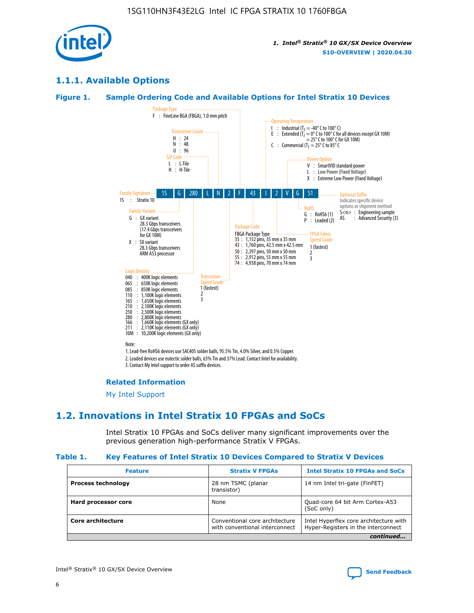

## **1.1.1. Available Options**

## **Figure 1. Sample Ordering Code and Available Options for Intel Stratix 10 Devices**



3. Contact My Intel support to order AS suffix devices.

#### **Related Information**

[My Intel Support](https://www.intel.com/content/www/us/en/programmable/my-intel/mal-home.html)

## **1.2. Innovations in Intel Stratix 10 FPGAs and SoCs**

Intel Stratix 10 FPGAs and SoCs deliver many significant improvements over the previous generation high-performance Stratix V FPGAs.

#### **Table 1. Key Features of Intel Stratix 10 Devices Compared to Stratix V Devices**

| <b>Feature</b>            | <b>Stratix V FPGAs</b>                                           | <b>Intel Stratix 10 FPGAs and SoCs</b>                                        |  |
|---------------------------|------------------------------------------------------------------|-------------------------------------------------------------------------------|--|
| <b>Process technology</b> | 28 nm TSMC (planar<br>transistor)                                | 14 nm Intel tri-gate (FinFET)                                                 |  |
| Hard processor core       | None                                                             | Quad-core 64 bit Arm Cortex-A53<br>(SoC only)                                 |  |
| Core architecture         | Conventional core architecture<br>with conventional interconnect | Intel Hyperflex core architecture with<br>Hyper-Registers in the interconnect |  |
|                           |                                                                  | continued                                                                     |  |

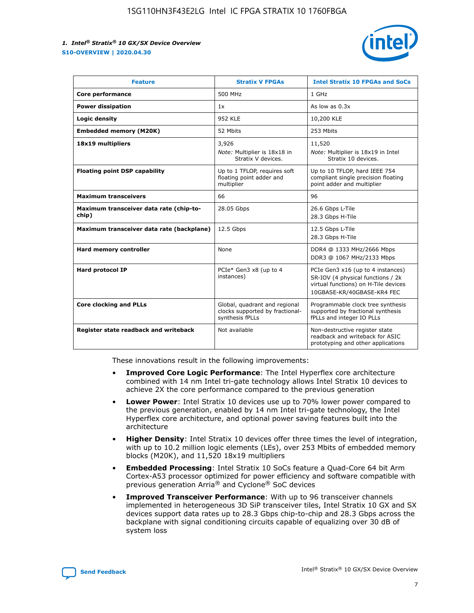

| <b>Feature</b>                                   | <b>Stratix V FPGAs</b>                                                              | <b>Intel Stratix 10 FPGAs and SoCs</b>                                                                                                       |
|--------------------------------------------------|-------------------------------------------------------------------------------------|----------------------------------------------------------------------------------------------------------------------------------------------|
| Core performance                                 | 500 MHz                                                                             | 1 GHz                                                                                                                                        |
| <b>Power dissipation</b>                         | 1x                                                                                  | As low as $0.3x$                                                                                                                             |
| Logic density                                    | <b>952 KLE</b>                                                                      | 10,200 KLE                                                                                                                                   |
| <b>Embedded memory (M20K)</b>                    | 52 Mbits                                                                            | 253 Mbits                                                                                                                                    |
| 18x19 multipliers                                | 3,926                                                                               | 11,520                                                                                                                                       |
|                                                  | Note: Multiplier is 18x18 in<br>Stratix V devices.                                  | Note: Multiplier is 18x19 in Intel<br>Stratix 10 devices.                                                                                    |
| <b>Floating point DSP capability</b>             | Up to 1 TFLOP, requires soft<br>floating point adder and<br>multiplier              | Up to 10 TFLOP, hard IEEE 754<br>compliant single precision floating<br>point adder and multiplier                                           |
| <b>Maximum transceivers</b>                      | 66                                                                                  | 96                                                                                                                                           |
| Maximum transceiver data rate (chip-to-<br>chip) | 28.05 Gbps                                                                          | 26.6 Gbps L-Tile<br>28.3 Gbps H-Tile                                                                                                         |
| Maximum transceiver data rate (backplane)        | 12.5 Gbps                                                                           | 12.5 Gbps L-Tile<br>28.3 Gbps H-Tile                                                                                                         |
| <b>Hard memory controller</b>                    | None                                                                                | DDR4 @ 1333 MHz/2666 Mbps<br>DDR3 @ 1067 MHz/2133 Mbps                                                                                       |
| <b>Hard protocol IP</b>                          | PCIe* Gen3 x8 (up to 4<br>instances)                                                | PCIe Gen3 x16 (up to 4 instances)<br>SR-IOV (4 physical functions / 2k<br>virtual functions) on H-Tile devices<br>10GBASE-KR/40GBASE-KR4 FEC |
| <b>Core clocking and PLLs</b>                    | Global, quadrant and regional<br>clocks supported by fractional-<br>synthesis fPLLs | Programmable clock tree synthesis<br>supported by fractional synthesis<br>fPLLs and integer IO PLLs                                          |
| Register state readback and writeback            | Not available                                                                       | Non-destructive register state<br>readback and writeback for ASIC<br>prototyping and other applications                                      |

These innovations result in the following improvements:

- **Improved Core Logic Performance**: The Intel Hyperflex core architecture combined with 14 nm Intel tri-gate technology allows Intel Stratix 10 devices to achieve 2X the core performance compared to the previous generation
- **Lower Power**: Intel Stratix 10 devices use up to 70% lower power compared to the previous generation, enabled by 14 nm Intel tri-gate technology, the Intel Hyperflex core architecture, and optional power saving features built into the architecture
- **Higher Density**: Intel Stratix 10 devices offer three times the level of integration, with up to 10.2 million logic elements (LEs), over 253 Mbits of embedded memory blocks (M20K), and 11,520 18x19 multipliers
- **Embedded Processing**: Intel Stratix 10 SoCs feature a Quad-Core 64 bit Arm Cortex-A53 processor optimized for power efficiency and software compatible with previous generation Arria® and Cyclone® SoC devices
- **Improved Transceiver Performance**: With up to 96 transceiver channels implemented in heterogeneous 3D SiP transceiver tiles, Intel Stratix 10 GX and SX devices support data rates up to 28.3 Gbps chip-to-chip and 28.3 Gbps across the backplane with signal conditioning circuits capable of equalizing over 30 dB of system loss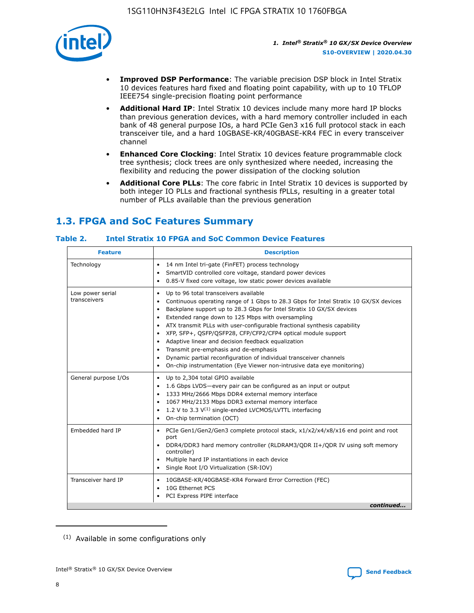

- **Improved DSP Performance**: The variable precision DSP block in Intel Stratix 10 devices features hard fixed and floating point capability, with up to 10 TFLOP IEEE754 single-precision floating point performance
- **Additional Hard IP**: Intel Stratix 10 devices include many more hard IP blocks than previous generation devices, with a hard memory controller included in each bank of 48 general purpose IOs, a hard PCIe Gen3 x16 full protocol stack in each transceiver tile, and a hard 10GBASE-KR/40GBASE-KR4 FEC in every transceiver channel
- **Enhanced Core Clocking**: Intel Stratix 10 devices feature programmable clock tree synthesis; clock trees are only synthesized where needed, increasing the flexibility and reducing the power dissipation of the clocking solution
- **Additional Core PLLs**: The core fabric in Intel Stratix 10 devices is supported by both integer IO PLLs and fractional synthesis fPLLs, resulting in a greater total number of PLLs available than the previous generation

# **1.3. FPGA and SoC Features Summary**

## **Table 2. Intel Stratix 10 FPGA and SoC Common Device Features**

| <b>Feature</b>                   | <b>Description</b>                                                                                                                                                                                                                                                                                                                                                                                                                                                                                                                                                                                                                                                                                  |
|----------------------------------|-----------------------------------------------------------------------------------------------------------------------------------------------------------------------------------------------------------------------------------------------------------------------------------------------------------------------------------------------------------------------------------------------------------------------------------------------------------------------------------------------------------------------------------------------------------------------------------------------------------------------------------------------------------------------------------------------------|
| Technology                       | 14 nm Intel tri-gate (FinFET) process technology<br>$\bullet$<br>SmartVID controlled core voltage, standard power devices<br>0.85-V fixed core voltage, low static power devices available<br>٠                                                                                                                                                                                                                                                                                                                                                                                                                                                                                                     |
| Low power serial<br>transceivers | Up to 96 total transceivers available<br>٠<br>Continuous operating range of 1 Gbps to 28.3 Gbps for Intel Stratix 10 GX/SX devices<br>Backplane support up to 28.3 Gbps for Intel Stratix 10 GX/SX devices<br>$\bullet$<br>Extended range down to 125 Mbps with oversampling<br>ATX transmit PLLs with user-configurable fractional synthesis capability<br>$\bullet$<br>XFP, SFP+, QSFP/QSFP28, CFP/CFP2/CFP4 optical module support<br>$\bullet$<br>• Adaptive linear and decision feedback equalization<br>Transmit pre-emphasis and de-emphasis<br>Dynamic partial reconfiguration of individual transceiver channels<br>On-chip instrumentation (Eye Viewer non-intrusive data eye monitoring) |
| General purpose I/Os             | Up to 2,304 total GPIO available<br>$\bullet$<br>1.6 Gbps LVDS-every pair can be configured as an input or output<br>1333 MHz/2666 Mbps DDR4 external memory interface<br>1067 MHz/2133 Mbps DDR3 external memory interface<br>• 1.2 V to 3.3 $V^{(1)}$ single-ended LVCMOS/LVTTL interfacing<br>• On-chip termination (OCT)                                                                                                                                                                                                                                                                                                                                                                        |
| Embedded hard IP                 | PCIe Gen1/Gen2/Gen3 complete protocol stack, x1/x2/x4/x8/x16 end point and root<br>$\bullet$<br>port<br>DDR4/DDR3 hard memory controller (RLDRAM3/QDR II+/QDR IV using soft memory<br>controller)<br>Multiple hard IP instantiations in each device<br>• Single Root I/O Virtualization (SR-IOV)                                                                                                                                                                                                                                                                                                                                                                                                    |
| Transceiver hard IP              | 10GBASE-KR/40GBASE-KR4 Forward Error Correction (FEC)<br>$\bullet$<br>10G Ethernet PCS<br>٠<br>PCI Express PIPE interface<br>continued                                                                                                                                                                                                                                                                                                                                                                                                                                                                                                                                                              |
|                                  |                                                                                                                                                                                                                                                                                                                                                                                                                                                                                                                                                                                                                                                                                                     |

<sup>(1)</sup> Available in some configurations only

8

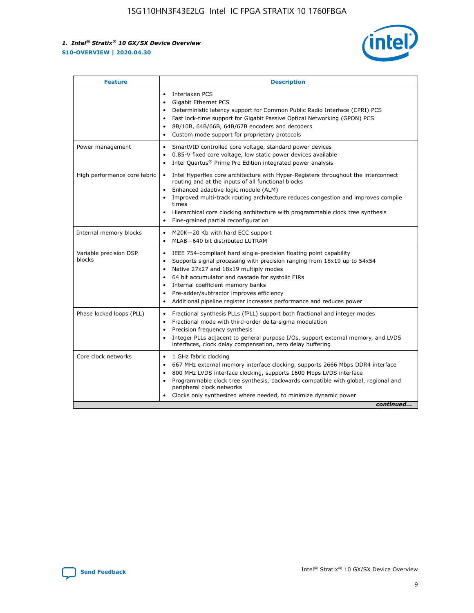

| <b>Feature</b>                   | <b>Description</b>                                                                                                                                                                                                                                                                                                                                                                                                                                                    |  |  |  |
|----------------------------------|-----------------------------------------------------------------------------------------------------------------------------------------------------------------------------------------------------------------------------------------------------------------------------------------------------------------------------------------------------------------------------------------------------------------------------------------------------------------------|--|--|--|
|                                  | Interlaken PCS<br>$\bullet$<br>Gigabit Ethernet PCS<br>$\bullet$<br>Deterministic latency support for Common Public Radio Interface (CPRI) PCS<br>$\bullet$<br>Fast lock-time support for Gigabit Passive Optical Networking (GPON) PCS<br>$\bullet$<br>8B/10B, 64B/66B, 64B/67B encoders and decoders<br>Custom mode support for proprietary protocols                                                                                                               |  |  |  |
| Power management                 | SmartVID controlled core voltage, standard power devices<br>$\bullet$<br>0.85-V fixed core voltage, low static power devices available<br>$\bullet$<br>Intel Quartus <sup>®</sup> Prime Pro Edition integrated power analysis<br>$\bullet$                                                                                                                                                                                                                            |  |  |  |
| High performance core fabric     | Intel Hyperflex core architecture with Hyper-Registers throughout the interconnect<br>routing and at the inputs of all functional blocks<br>Enhanced adaptive logic module (ALM)<br>$\bullet$<br>Improved multi-track routing architecture reduces congestion and improves compile<br>times<br>Hierarchical core clocking architecture with programmable clock tree synthesis<br>$\bullet$<br>Fine-grained partial reconfiguration                                    |  |  |  |
| Internal memory blocks           | M20K-20 Kb with hard ECC support<br>$\bullet$<br>MLAB-640 bit distributed LUTRAM<br>$\bullet$                                                                                                                                                                                                                                                                                                                                                                         |  |  |  |
| Variable precision DSP<br>blocks | IEEE 754-compliant hard single-precision floating point capability<br>$\bullet$<br>Supports signal processing with precision ranging from 18x19 up to 54x54<br>$\bullet$<br>Native 27x27 and 18x19 multiply modes<br>$\bullet$<br>64 bit accumulator and cascade for systolic FIRs<br>Internal coefficient memory banks<br>Pre-adder/subtractor improves efficiency<br>$\bullet$<br>Additional pipeline register increases performance and reduces power<br>$\bullet$ |  |  |  |
| Phase locked loops (PLL)         | Fractional synthesis PLLs (fPLL) support both fractional and integer modes<br>$\bullet$<br>Fractional mode with third-order delta-sigma modulation<br>Precision frequency synthesis<br>$\bullet$<br>Integer PLLs adjacent to general purpose I/Os, support external memory, and LVDS<br>$\bullet$<br>interfaces, clock delay compensation, zero delay buffering                                                                                                       |  |  |  |
| Core clock networks              | 1 GHz fabric clocking<br>$\bullet$<br>667 MHz external memory interface clocking, supports 2666 Mbps DDR4 interface<br>٠<br>800 MHz LVDS interface clocking, supports 1600 Mbps LVDS interface<br>$\bullet$<br>Programmable clock tree synthesis, backwards compatible with global, regional and<br>$\bullet$<br>peripheral clock networks<br>Clocks only synthesized where needed, to minimize dynamic power<br>continued                                            |  |  |  |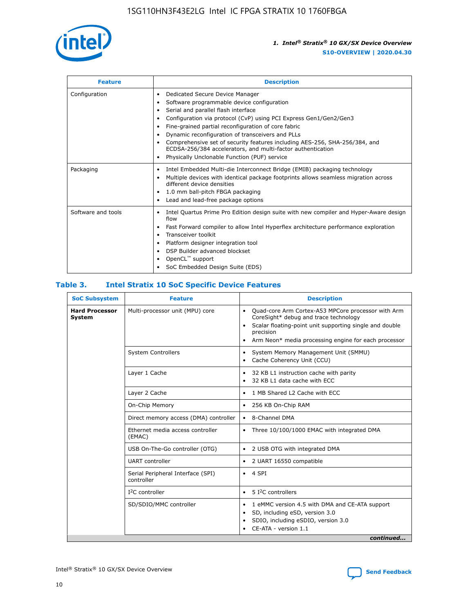

| <b>Feature</b>     | <b>Description</b>                                                                                                                                                                                                                                                                                                                                                                                                                                                                                                    |
|--------------------|-----------------------------------------------------------------------------------------------------------------------------------------------------------------------------------------------------------------------------------------------------------------------------------------------------------------------------------------------------------------------------------------------------------------------------------------------------------------------------------------------------------------------|
| Configuration      | Dedicated Secure Device Manager<br>٠<br>Software programmable device configuration<br>٠<br>Serial and parallel flash interface<br>٠<br>Configuration via protocol (CvP) using PCI Express Gen1/Gen2/Gen3<br>Fine-grained partial reconfiguration of core fabric<br>Dynamic reconfiguration of transceivers and PLLs<br>٠<br>Comprehensive set of security features including AES-256, SHA-256/384, and<br>ECDSA-256/384 accelerators, and multi-factor authentication<br>Physically Unclonable Function (PUF) service |
| Packaging          | Intel Embedded Multi-die Interconnect Bridge (EMIB) packaging technology<br>٠<br>Multiple devices with identical package footprints allows seamless migration across<br>٠<br>different device densities<br>1.0 mm ball-pitch FBGA packaging<br>٠<br>Lead and lead-free package options                                                                                                                                                                                                                                |
| Software and tools | Intel Quartus Prime Pro Edition design suite with new compiler and Hyper-Aware design<br>flow<br>Fast Forward compiler to allow Intel Hyperflex architecture performance exploration<br>٠<br>Transceiver toolkit<br>Platform designer integration tool<br>DSP Builder advanced blockset<br>OpenCL <sup>™</sup> support<br>SoC Embedded Design Suite (EDS)                                                                                                                                                             |

## **Table 3. Intel Stratix 10 SoC Specific Device Features**

| <b>SoC Subsystem</b>            | <b>Feature</b>                                  | <b>Description</b>                                                                                                                                                                                                                                                 |
|---------------------------------|-------------------------------------------------|--------------------------------------------------------------------------------------------------------------------------------------------------------------------------------------------------------------------------------------------------------------------|
| <b>Hard Processor</b><br>System | Multi-processor unit (MPU) core                 | Quad-core Arm Cortex-A53 MPCore processor with Arm<br>$\bullet$<br>CoreSight* debug and trace technology<br>Scalar floating-point unit supporting single and double<br>$\bullet$<br>precision<br>Arm Neon* media processing engine for each processor<br>$\bullet$ |
|                                 | <b>System Controllers</b>                       | System Memory Management Unit (SMMU)<br>$\bullet$<br>Cache Coherency Unit (CCU)<br>$\bullet$                                                                                                                                                                       |
|                                 | Layer 1 Cache                                   | 32 KB L1 instruction cache with parity<br>٠<br>32 KB L1 data cache with ECC<br>$\bullet$                                                                                                                                                                           |
|                                 | Layer 2 Cache                                   | 1 MB Shared L2 Cache with ECC<br>$\bullet$                                                                                                                                                                                                                         |
|                                 | On-Chip Memory                                  | 256 KB On-Chip RAM<br>$\bullet$                                                                                                                                                                                                                                    |
|                                 | Direct memory access (DMA) controller           | 8-Channel DMA<br>$\bullet$                                                                                                                                                                                                                                         |
|                                 | Ethernet media access controller<br>(EMAC)      | Three 10/100/1000 EMAC with integrated DMA<br>$\bullet$                                                                                                                                                                                                            |
|                                 | USB On-The-Go controller (OTG)                  | 2 USB OTG with integrated DMA<br>$\bullet$                                                                                                                                                                                                                         |
|                                 | <b>UART</b> controller                          | 2 UART 16550 compatible<br>$\bullet$                                                                                                                                                                                                                               |
|                                 | Serial Peripheral Interface (SPI)<br>controller | 4 SPI<br>$\bullet$                                                                                                                                                                                                                                                 |
|                                 | $I2C$ controller                                | 5 <sup>2</sup> C controllers<br>$\bullet$                                                                                                                                                                                                                          |
|                                 | SD/SDIO/MMC controller                          | 1 eMMC version 4.5 with DMA and CE-ATA support<br>$\bullet$<br>SD, including eSD, version 3.0<br>$\bullet$<br>SDIO, including eSDIO, version 3.0<br>CE-ATA - version 1.1<br>continued                                                                              |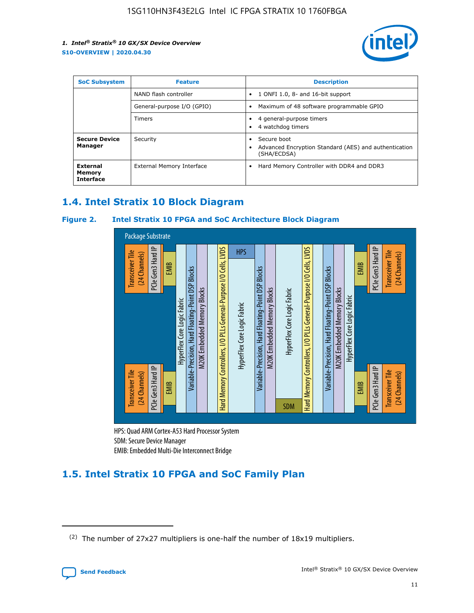

| <b>SoC Subsystem</b>                   | <b>Feature</b>             | <b>Description</b>                                                                                    |  |  |
|----------------------------------------|----------------------------|-------------------------------------------------------------------------------------------------------|--|--|
|                                        | NAND flash controller      | 1 ONFI 1.0, 8- and 16-bit support<br>$\bullet$                                                        |  |  |
|                                        | General-purpose I/O (GPIO) | Maximum of 48 software programmable GPIO<br>$\bullet$                                                 |  |  |
|                                        | Timers                     | 4 general-purpose timers<br>4 watchdog timers<br>٠                                                    |  |  |
| <b>Secure Device</b><br>Manager        | Security                   | Secure boot<br>$\bullet$<br>Advanced Encryption Standard (AES) and authentication<br>٠<br>(SHA/ECDSA) |  |  |
| External<br>Memory<br><b>Interface</b> | External Memory Interface  | Hard Memory Controller with DDR4 and DDR3<br>$\bullet$                                                |  |  |

## **1.4. Intel Stratix 10 Block Diagram**

## **Figure 2. Intel Stratix 10 FPGA and SoC Architecture Block Diagram**



HPS: Quad ARM Cortex-A53 Hard Processor System SDM: Secure Device Manager

# **1.5. Intel Stratix 10 FPGA and SoC Family Plan**

<sup>(2)</sup> The number of 27x27 multipliers is one-half the number of 18x19 multipliers.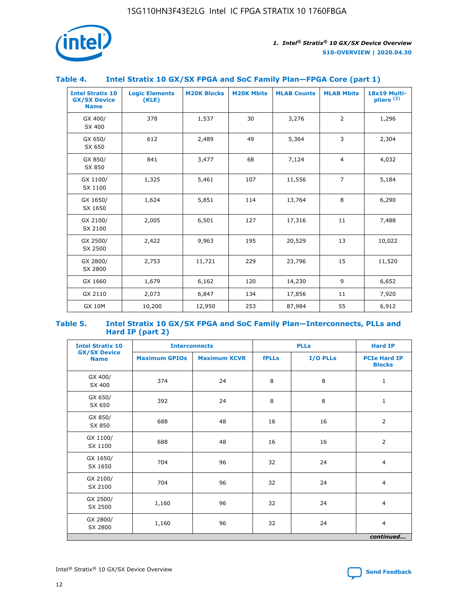

## **Table 4. Intel Stratix 10 GX/SX FPGA and SoC Family Plan—FPGA Core (part 1)**

| <b>Intel Stratix 10</b><br><b>GX/SX Device</b><br><b>Name</b> | <b>Logic Elements</b><br>(KLE) | <b>M20K Blocks</b> | <b>M20K Mbits</b> | <b>MLAB Counts</b> | <b>MLAB Mbits</b> | 18x19 Multi-<br>pliers <sup>(2)</sup> |
|---------------------------------------------------------------|--------------------------------|--------------------|-------------------|--------------------|-------------------|---------------------------------------|
| GX 400/<br>SX 400                                             | 378                            | 1,537              | 30                | 3,276              | $\overline{2}$    | 1,296                                 |
| GX 650/<br>SX 650                                             | 612                            | 2,489              | 49                | 5,364              | 3                 | 2,304                                 |
| GX 850/<br>SX 850                                             | 841                            | 3,477              | 68                | 7,124              | $\overline{4}$    | 4,032                                 |
| GX 1100/<br>SX 1100                                           | 1,325                          | 5,461              | 107               | 11,556             | $\overline{7}$    | 5,184                                 |
| GX 1650/<br>SX 1650                                           | 1,624                          | 5,851              | 114               | 13,764             | 8                 | 6,290                                 |
| GX 2100/<br>SX 2100                                           | 2,005                          | 6,501              | 127               | 17,316             | 11                | 7,488                                 |
| GX 2500/<br>SX 2500                                           | 2,422                          | 9,963              | 195               | 20,529             | 13                | 10,022                                |
| GX 2800/<br>SX 2800                                           | 2,753                          | 11,721             | 229               | 23,796             | 15                | 11,520                                |
| GX 1660                                                       | 1,679                          | 6,162              | 120               | 14,230             | 9                 | 6,652                                 |
| GX 2110                                                       | 2,073                          | 6,847              | 134               | 17,856             | 11                | 7,920                                 |
| <b>GX 10M</b>                                                 | 10,200                         | 12,950             | 253               | 87,984             | 55                | 6,912                                 |

#### **Table 5. Intel Stratix 10 GX/SX FPGA and SoC Family Plan—Interconnects, PLLs and Hard IP (part 2)**

| <b>Intel Stratix 10</b>            | <b>Interconnects</b> |                     |              | <b>PLLs</b> | <b>Hard IP</b>                       |  |
|------------------------------------|----------------------|---------------------|--------------|-------------|--------------------------------------|--|
| <b>GX/SX Device</b><br><b>Name</b> | <b>Maximum GPIOs</b> | <b>Maximum XCVR</b> | <b>fPLLs</b> | I/O PLLs    | <b>PCIe Hard IP</b><br><b>Blocks</b> |  |
| GX 400/<br>SX 400                  | 374                  | 24                  | 8            | 8           | $\mathbf{1}$                         |  |
| GX 650/<br>SX 650                  | 392                  | 24                  | 8            | 8           | $\mathbf{1}$                         |  |
| GX 850/<br>SX 850                  | 688                  | 48                  | 16           | 16          | 2                                    |  |
| GX 1100/<br>SX 1100                | 688                  | 48                  | 16           | 16          | 2                                    |  |
| GX 1650/<br>SX 1650                | 704                  | 96                  | 32           | 24          | $\overline{4}$                       |  |
| GX 2100/<br>SX 2100                | 704                  | 96                  | 32           | 24          | 4                                    |  |
| GX 2500/<br>SX 2500                | 1,160                | 96                  | 32           | 24          | $\overline{4}$                       |  |
| GX 2800/<br>SX 2800                | 1,160                | 96                  | 32           | 24          | $\overline{4}$                       |  |
| continued                          |                      |                     |              |             |                                      |  |

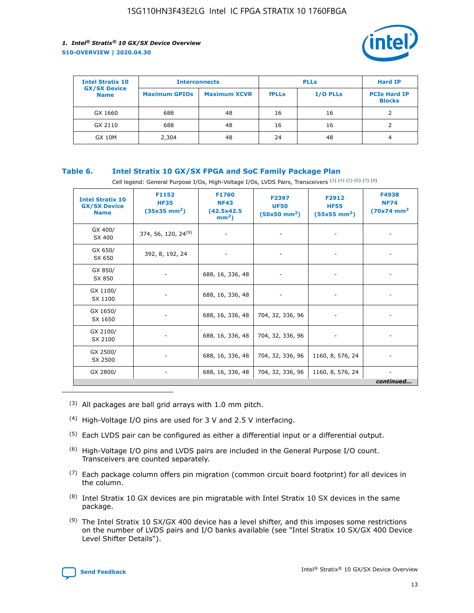

| <b>Intel Stratix 10</b>            | <b>Interconnects</b> |                     |              | <b>Hard IP</b>  |                                      |
|------------------------------------|----------------------|---------------------|--------------|-----------------|--------------------------------------|
| <b>GX/SX Device</b><br><b>Name</b> | <b>Maximum GPIOs</b> | <b>Maximum XCVR</b> | <b>fPLLs</b> | <b>I/O PLLs</b> | <b>PCIe Hard IP</b><br><b>Blocks</b> |
| GX 1660                            | 688                  | 48                  | 16           | 16              |                                      |
| GX 2110                            | 688                  | 48                  | 16           | 16              |                                      |
| <b>GX 10M</b>                      | 2,304                | 48                  | 24           | 48              | 4                                    |

## **Table 6. Intel Stratix 10 GX/SX FPGA and SoC Family Package Plan**

Cell legend: General Purpose I/Os, High-Voltage I/Os, LVDS Pairs, Transceivers (3) (4) (5) (6) (7) (8)

| <b>Intel Stratix 10</b><br><b>GX/SX Device</b><br><b>Name</b> | F1152<br><b>HF35</b><br>$(35x35)$ mm <sup>2</sup> ) | <b>F1760</b><br><b>NF43</b><br>(42.5x42.5<br>$mm2$ ) | F2397<br><b>UF50</b><br>$(50x50 \text{ mm}^2)$ | F2912<br><b>HF55</b><br>$(55x55 \text{ mm}^2)$ | F4938<br><b>NF74</b><br>$(70x74)$ mm <sup>2</sup> |
|---------------------------------------------------------------|-----------------------------------------------------|------------------------------------------------------|------------------------------------------------|------------------------------------------------|---------------------------------------------------|
| GX 400/<br>SX 400                                             | 374, 56, 120, 24 <sup>(9)</sup>                     | $\overline{\phantom{a}}$                             | $\overline{\phantom{a}}$                       |                                                |                                                   |
| GX 650/<br>SX 650                                             | 392, 8, 192, 24                                     | ٠                                                    | $\qquad \qquad \blacksquare$                   |                                                |                                                   |
| GX 850/<br>SX 850                                             | $\overline{\phantom{a}}$                            | 688, 16, 336, 48                                     | $\overline{\phantom{a}}$                       |                                                |                                                   |
| GX 1100/<br>SX 1100                                           | -                                                   | 688, 16, 336, 48                                     |                                                |                                                |                                                   |
| GX 1650/<br>SX 1650                                           |                                                     | 688, 16, 336, 48                                     | 704, 32, 336, 96                               | $\overline{\phantom{a}}$                       | $\overline{\phantom{0}}$                          |
| GX 2100/<br>SX 2100                                           |                                                     | 688, 16, 336, 48                                     | 704, 32, 336, 96                               | $\overline{\phantom{a}}$                       | ٠                                                 |
| GX 2500/<br>SX 2500                                           |                                                     | 688, 16, 336, 48                                     | 704, 32, 336, 96                               | 1160, 8, 576, 24                               |                                                   |
| GX 2800/                                                      | -                                                   | 688, 16, 336, 48                                     | 704, 32, 336, 96                               | 1160, 8, 576, 24                               | continued                                         |

- (3) All packages are ball grid arrays with 1.0 mm pitch.
- (4) High-Voltage I/O pins are used for 3 V and 2.5 V interfacing.
- $(5)$  Each LVDS pair can be configured as either a differential input or a differential output.
- $(6)$  High-Voltage I/O pins and LVDS pairs are included in the General Purpose I/O count. Transceivers are counted separately.
- $(7)$  Each package column offers pin migration (common circuit board footprint) for all devices in the column.
- $(8)$  Intel Stratix 10 GX devices are pin migratable with Intel Stratix 10 SX devices in the same package.
- $(9)$  The Intel Stratix 10 SX/GX 400 device has a level shifter, and this imposes some restrictions on the number of LVDS pairs and I/O banks available (see "Intel Stratix 10 SX/GX 400 Device Level Shifter Details").

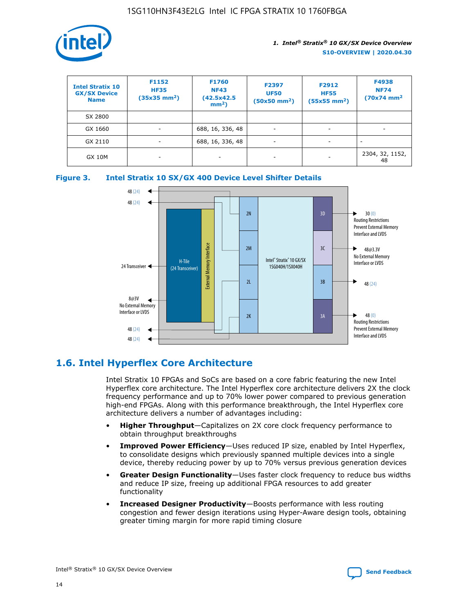

| <b>Intel Stratix 10</b><br><b>GX/SX Device</b><br><b>Name</b> | F1152<br><b>HF35</b><br>$(35x35)$ mm <sup>2</sup> ) | F1760<br><b>NF43</b><br>(42.5x42.5<br>$mm2$ ) | F2397<br><b>UF50</b><br>$(50x50 \text{ mm}^2)$ | F2912<br><b>HF55</b><br>$(55x55$ mm <sup>2</sup> ) | F4938<br><b>NF74</b><br>$(70x74)$ mm <sup>2</sup> |
|---------------------------------------------------------------|-----------------------------------------------------|-----------------------------------------------|------------------------------------------------|----------------------------------------------------|---------------------------------------------------|
| SX 2800                                                       |                                                     |                                               |                                                |                                                    |                                                   |
| GX 1660                                                       | -                                                   | 688, 16, 336, 48                              | $\overline{\phantom{a}}$                       |                                                    |                                                   |
| GX 2110                                                       |                                                     | 688, 16, 336, 48                              | $\overline{\phantom{a}}$                       |                                                    |                                                   |
| <b>GX 10M</b>                                                 | ۰                                                   |                                               |                                                |                                                    | 2304, 32, 1152,<br>48                             |





## **1.6. Intel Hyperflex Core Architecture**

Intel Stratix 10 FPGAs and SoCs are based on a core fabric featuring the new Intel Hyperflex core architecture. The Intel Hyperflex core architecture delivers 2X the clock frequency performance and up to 70% lower power compared to previous generation high-end FPGAs. Along with this performance breakthrough, the Intel Hyperflex core architecture delivers a number of advantages including:

- **Higher Throughput**—Capitalizes on 2X core clock frequency performance to obtain throughput breakthroughs
- **Improved Power Efficiency**—Uses reduced IP size, enabled by Intel Hyperflex, to consolidate designs which previously spanned multiple devices into a single device, thereby reducing power by up to 70% versus previous generation devices
- **Greater Design Functionality**—Uses faster clock frequency to reduce bus widths and reduce IP size, freeing up additional FPGA resources to add greater functionality
- **Increased Designer Productivity**—Boosts performance with less routing congestion and fewer design iterations using Hyper-Aware design tools, obtaining greater timing margin for more rapid timing closure

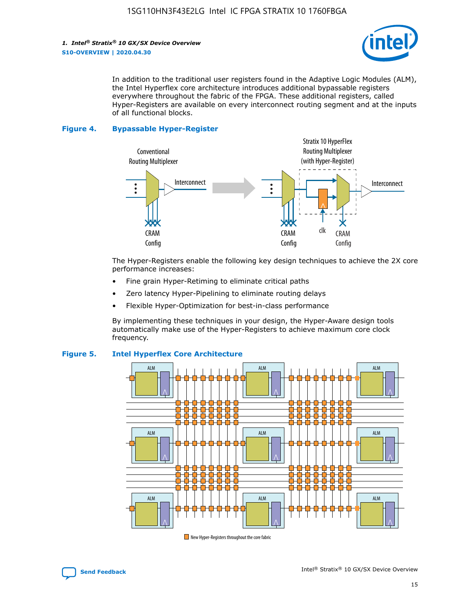

In addition to the traditional user registers found in the Adaptive Logic Modules (ALM), the Intel Hyperflex core architecture introduces additional bypassable registers everywhere throughout the fabric of the FPGA. These additional registers, called Hyper-Registers are available on every interconnect routing segment and at the inputs of all functional blocks.

#### **Figure 4. Bypassable Hyper-Register**



The Hyper-Registers enable the following key design techniques to achieve the 2X core performance increases:

- Fine grain Hyper-Retiming to eliminate critical paths
- Zero latency Hyper-Pipelining to eliminate routing delays
- Flexible Hyper-Optimization for best-in-class performance

By implementing these techniques in your design, the Hyper-Aware design tools automatically make use of the Hyper-Registers to achieve maximum core clock frequency.



## **Figure 5. Intel Hyperflex Core Architecture**

New Hyper-Registers throughout the core fabric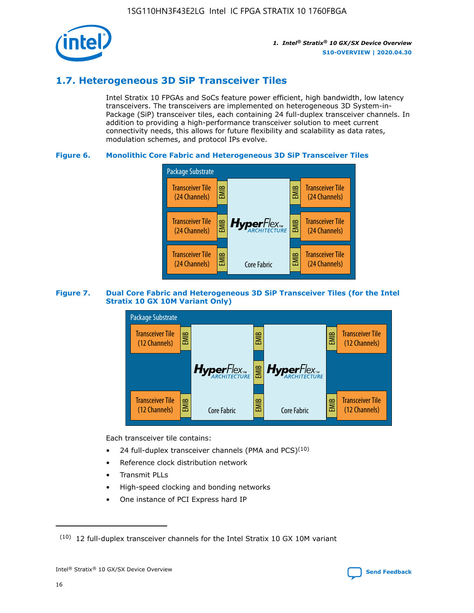

## **1.7. Heterogeneous 3D SiP Transceiver Tiles**

Intel Stratix 10 FPGAs and SoCs feature power efficient, high bandwidth, low latency transceivers. The transceivers are implemented on heterogeneous 3D System-in-Package (SiP) transceiver tiles, each containing 24 full-duplex transceiver channels. In addition to providing a high-performance transceiver solution to meet current connectivity needs, this allows for future flexibility and scalability as data rates, modulation schemes, and protocol IPs evolve.

## **Figure 6. Monolithic Core Fabric and Heterogeneous 3D SiP Transceiver Tiles**



## **Figure 7. Dual Core Fabric and Heterogeneous 3D SiP Transceiver Tiles (for the Intel Stratix 10 GX 10M Variant Only)**



Each transceiver tile contains:

- 24 full-duplex transceiver channels (PMA and PCS) $(10)$
- Reference clock distribution network
- Transmit PLLs
- High-speed clocking and bonding networks
- One instance of PCI Express hard IP

 $(10)$  12 full-duplex transceiver channels for the Intel Stratix 10 GX 10M variant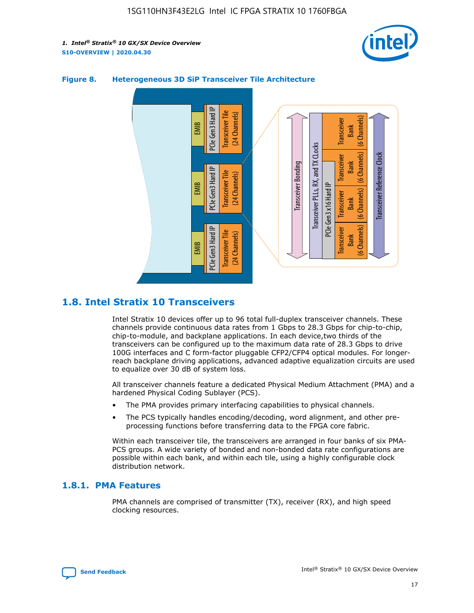



## **Figure 8. Heterogeneous 3D SiP Transceiver Tile Architecture**

## **1.8. Intel Stratix 10 Transceivers**

Intel Stratix 10 devices offer up to 96 total full-duplex transceiver channels. These channels provide continuous data rates from 1 Gbps to 28.3 Gbps for chip-to-chip, chip-to-module, and backplane applications. In each device,two thirds of the transceivers can be configured up to the maximum data rate of 28.3 Gbps to drive 100G interfaces and C form-factor pluggable CFP2/CFP4 optical modules. For longerreach backplane driving applications, advanced adaptive equalization circuits are used to equalize over 30 dB of system loss.

All transceiver channels feature a dedicated Physical Medium Attachment (PMA) and a hardened Physical Coding Sublayer (PCS).

- The PMA provides primary interfacing capabilities to physical channels.
- The PCS typically handles encoding/decoding, word alignment, and other preprocessing functions before transferring data to the FPGA core fabric.

Within each transceiver tile, the transceivers are arranged in four banks of six PMA-PCS groups. A wide variety of bonded and non-bonded data rate configurations are possible within each bank, and within each tile, using a highly configurable clock distribution network.

## **1.8.1. PMA Features**

PMA channels are comprised of transmitter (TX), receiver (RX), and high speed clocking resources.

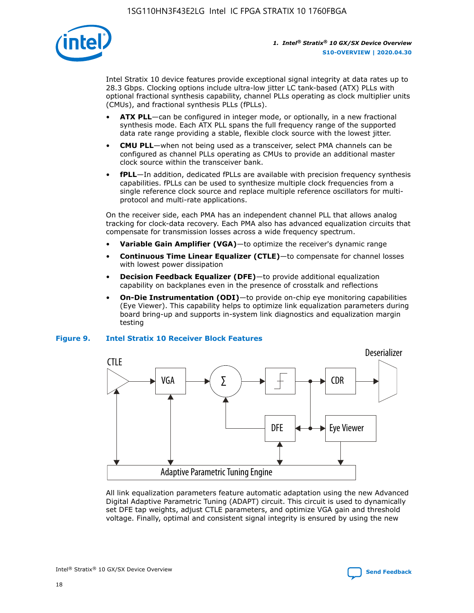

Intel Stratix 10 device features provide exceptional signal integrity at data rates up to 28.3 Gbps. Clocking options include ultra-low jitter LC tank-based (ATX) PLLs with optional fractional synthesis capability, channel PLLs operating as clock multiplier units (CMUs), and fractional synthesis PLLs (fPLLs).

- **ATX PLL**—can be configured in integer mode, or optionally, in a new fractional synthesis mode. Each ATX PLL spans the full frequency range of the supported data rate range providing a stable, flexible clock source with the lowest jitter.
- **CMU PLL**—when not being used as a transceiver, select PMA channels can be configured as channel PLLs operating as CMUs to provide an additional master clock source within the transceiver bank.
- **fPLL**—In addition, dedicated fPLLs are available with precision frequency synthesis capabilities. fPLLs can be used to synthesize multiple clock frequencies from a single reference clock source and replace multiple reference oscillators for multiprotocol and multi-rate applications.

On the receiver side, each PMA has an independent channel PLL that allows analog tracking for clock-data recovery. Each PMA also has advanced equalization circuits that compensate for transmission losses across a wide frequency spectrum.

- **Variable Gain Amplifier (VGA)**—to optimize the receiver's dynamic range
- **Continuous Time Linear Equalizer (CTLE)**—to compensate for channel losses with lowest power dissipation
- **Decision Feedback Equalizer (DFE)**—to provide additional equalization capability on backplanes even in the presence of crosstalk and reflections
- **On-Die Instrumentation (ODI)**—to provide on-chip eye monitoring capabilities (Eye Viewer). This capability helps to optimize link equalization parameters during board bring-up and supports in-system link diagnostics and equalization margin testing

### **Figure 9. Intel Stratix 10 Receiver Block Features**



All link equalization parameters feature automatic adaptation using the new Advanced Digital Adaptive Parametric Tuning (ADAPT) circuit. This circuit is used to dynamically set DFE tap weights, adjust CTLE parameters, and optimize VGA gain and threshold voltage. Finally, optimal and consistent signal integrity is ensured by using the new



Intel<sup>®</sup> Stratix<sup>®</sup> 10 GX/SX Device Overview **[Send Feedback](mailto:FPGAtechdocfeedback@intel.com?subject=Feedback%20on%20Intel%20Stratix%2010%20GX/SX%20Device%20Overview%20(S10-OVERVIEW%202020.04.30)&body=We%20appreciate%20your%20feedback.%20In%20your%20comments,%20also%20specify%20the%20page%20number%20or%20paragraph.%20Thank%20you.)** Send Feedback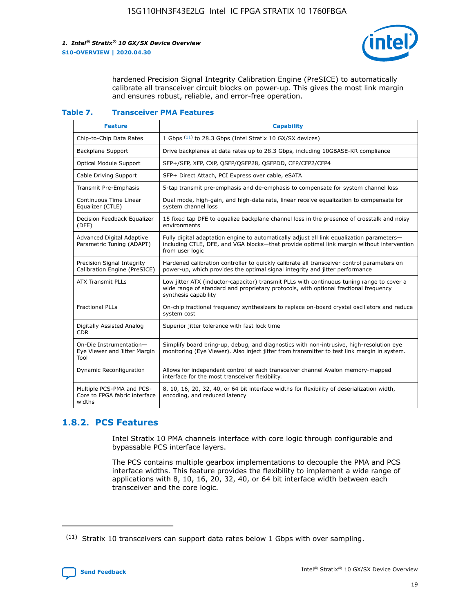

hardened Precision Signal Integrity Calibration Engine (PreSICE) to automatically calibrate all transceiver circuit blocks on power-up. This gives the most link margin and ensures robust, reliable, and error-free operation.

#### **Table 7. Transceiver PMA Features**

| <b>Feature</b>                                                       | <b>Capability</b>                                                                                                                                                                                         |
|----------------------------------------------------------------------|-----------------------------------------------------------------------------------------------------------------------------------------------------------------------------------------------------------|
| Chip-to-Chip Data Rates                                              | 1 Gbps (11) to 28.3 Gbps (Intel Stratix 10 GX/SX devices)                                                                                                                                                 |
| <b>Backplane Support</b>                                             | Drive backplanes at data rates up to 28.3 Gbps, including 10GBASE-KR compliance                                                                                                                           |
| Optical Module Support                                               | SFP+/SFP, XFP, CXP, QSFP/QSFP28, QSFPDD, CFP/CFP2/CFP4                                                                                                                                                    |
| Cable Driving Support                                                | SFP+ Direct Attach, PCI Express over cable, eSATA                                                                                                                                                         |
| <b>Transmit Pre-Emphasis</b>                                         | 5-tap transmit pre-emphasis and de-emphasis to compensate for system channel loss                                                                                                                         |
| Continuous Time Linear<br>Equalizer (CTLE)                           | Dual mode, high-gain, and high-data rate, linear receive equalization to compensate for<br>system channel loss                                                                                            |
| Decision Feedback Equalizer<br>(DFE)                                 | 15 fixed tap DFE to equalize backplane channel loss in the presence of crosstalk and noisy<br>environments                                                                                                |
| Advanced Digital Adaptive<br>Parametric Tuning (ADAPT)               | Fully digital adaptation engine to automatically adjust all link equalization parameters-<br>including CTLE, DFE, and VGA blocks-that provide optimal link margin without intervention<br>from user logic |
| Precision Signal Integrity<br>Calibration Engine (PreSICE)           | Hardened calibration controller to quickly calibrate all transceiver control parameters on<br>power-up, which provides the optimal signal integrity and jitter performance                                |
| <b>ATX Transmit PLLs</b>                                             | Low jitter ATX (inductor-capacitor) transmit PLLs with continuous tuning range to cover a<br>wide range of standard and proprietary protocols, with optional fractional frequency<br>synthesis capability |
| <b>Fractional PLLs</b>                                               | On-chip fractional frequency synthesizers to replace on-board crystal oscillators and reduce<br>system cost                                                                                               |
| Digitally Assisted Analog<br>CDR.                                    | Superior jitter tolerance with fast lock time                                                                                                                                                             |
| On-Die Instrumentation-<br>Eye Viewer and Jitter Margin<br>Tool      | Simplify board bring-up, debug, and diagnostics with non-intrusive, high-resolution eye<br>monitoring (Eye Viewer). Also inject jitter from transmitter to test link margin in system.                    |
| Dynamic Reconfiguration                                              | Allows for independent control of each transceiver channel Avalon memory-mapped<br>interface for the most transceiver flexibility.                                                                        |
| Multiple PCS-PMA and PCS-<br>Core to FPGA fabric interface<br>widths | 8, 10, 16, 20, 32, 40, or 64 bit interface widths for flexibility of deserialization width,<br>encoding, and reduced latency                                                                              |

## **1.8.2. PCS Features**

Intel Stratix 10 PMA channels interface with core logic through configurable and bypassable PCS interface layers.

The PCS contains multiple gearbox implementations to decouple the PMA and PCS interface widths. This feature provides the flexibility to implement a wide range of applications with 8, 10, 16, 20, 32, 40, or 64 bit interface width between each transceiver and the core logic.

<sup>(11)</sup> Stratix 10 transceivers can support data rates below 1 Gbps with over sampling.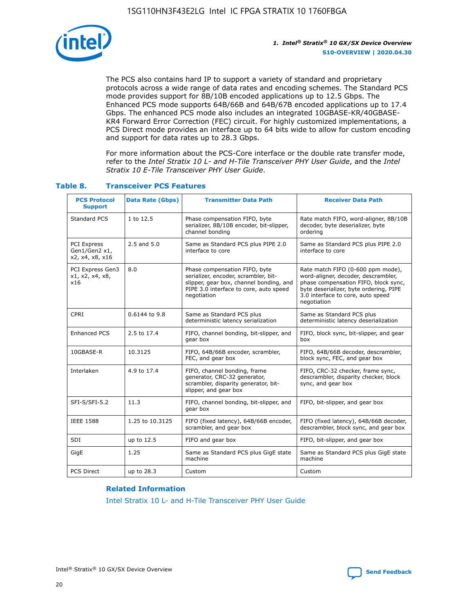

The PCS also contains hard IP to support a variety of standard and proprietary protocols across a wide range of data rates and encoding schemes. The Standard PCS mode provides support for 8B/10B encoded applications up to 12.5 Gbps. The Enhanced PCS mode supports 64B/66B and 64B/67B encoded applications up to 17.4 Gbps. The enhanced PCS mode also includes an integrated 10GBASE-KR/40GBASE-KR4 Forward Error Correction (FEC) circuit. For highly customized implementations, a PCS Direct mode provides an interface up to 64 bits wide to allow for custom encoding and support for data rates up to 28.3 Gbps.

For more information about the PCS-Core interface or the double rate transfer mode, refer to the *Intel Stratix 10 L- and H-Tile Transceiver PHY User Guide*, and the *Intel Stratix 10 E-Tile Transceiver PHY User Guide*.

| <b>PCS Protocol</b><br><b>Support</b>           | <b>Data Rate (Gbps)</b> | <b>Transmitter Data Path</b>                                                                                                                                              | <b>Receiver Data Path</b>                                                                                                                                                                                      |
|-------------------------------------------------|-------------------------|---------------------------------------------------------------------------------------------------------------------------------------------------------------------------|----------------------------------------------------------------------------------------------------------------------------------------------------------------------------------------------------------------|
| Standard PCS                                    | 1 to 12.5               | Phase compensation FIFO, byte<br>serializer, 8B/10B encoder, bit-slipper,<br>channel bonding                                                                              | Rate match FIFO, word-aligner, 8B/10B<br>decoder, byte deserializer, byte<br>ordering                                                                                                                          |
| PCI Express<br>Gen1/Gen2 x1,<br>x2, x4, x8, x16 | $2.5$ and $5.0$         | Same as Standard PCS plus PIPE 2.0<br>interface to core                                                                                                                   | Same as Standard PCS plus PIPE 2.0<br>interface to core                                                                                                                                                        |
| PCI Express Gen3<br>x1, x2, x4, x8,<br>x16      | 8.0                     | Phase compensation FIFO, byte<br>serializer, encoder, scrambler, bit-<br>slipper, gear box, channel bonding, and<br>PIPE 3.0 interface to core, auto speed<br>negotiation | Rate match FIFO (0-600 ppm mode),<br>word-aligner, decoder, descrambler,<br>phase compensation FIFO, block sync,<br>byte deserializer, byte ordering, PIPE<br>3.0 interface to core, auto speed<br>negotiation |
| CPRI                                            | 0.6144 to 9.8           | Same as Standard PCS plus<br>deterministic latency serialization                                                                                                          | Same as Standard PCS plus<br>deterministic latency deserialization                                                                                                                                             |
| <b>Enhanced PCS</b>                             | 2.5 to 17.4             | FIFO, channel bonding, bit-slipper, and<br>gear box                                                                                                                       | FIFO, block sync, bit-slipper, and gear<br>box                                                                                                                                                                 |
| 10GBASE-R                                       | 10.3125                 | FIFO, 64B/66B encoder, scrambler,<br>FEC, and gear box                                                                                                                    | FIFO, 64B/66B decoder, descrambler,<br>block sync, FEC, and gear box                                                                                                                                           |
| Interlaken                                      | 4.9 to 17.4             | FIFO, channel bonding, frame<br>generator, CRC-32 generator,<br>scrambler, disparity generator, bit-<br>slipper, and gear box                                             | FIFO, CRC-32 checker, frame sync,<br>descrambler, disparity checker, block<br>sync, and gear box                                                                                                               |
| SFI-S/SFI-5.2                                   | 11.3                    | FIFO, channel bonding, bit-slipper, and<br>gear box                                                                                                                       | FIFO, bit-slipper, and gear box                                                                                                                                                                                |
| <b>IEEE 1588</b>                                | 1.25 to 10.3125         | FIFO (fixed latency), 64B/66B encoder,<br>scrambler, and gear box                                                                                                         | FIFO (fixed latency), 64B/66B decoder,<br>descrambler, block sync, and gear box                                                                                                                                |
| SDI                                             | up to 12.5              | FIFO and gear box                                                                                                                                                         | FIFO, bit-slipper, and gear box                                                                                                                                                                                |
| GigE                                            | 1.25                    | Same as Standard PCS plus GigE state<br>machine                                                                                                                           | Same as Standard PCS plus GigE state<br>machine                                                                                                                                                                |
| <b>PCS Direct</b>                               | up to 28.3              | Custom                                                                                                                                                                    | Custom                                                                                                                                                                                                         |

## **Table 8. Transceiver PCS Features**

### **Related Information**

[Intel Stratix 10 L- and H-Tile Transceiver PHY User Guide](https://www.altera.com/documentation/wry1479165198810.html)

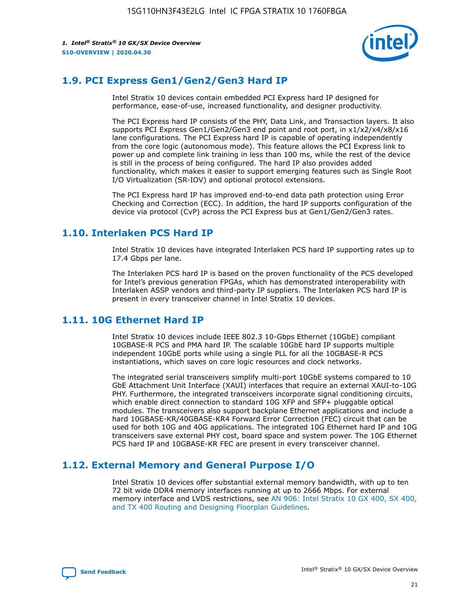

## **1.9. PCI Express Gen1/Gen2/Gen3 Hard IP**

Intel Stratix 10 devices contain embedded PCI Express hard IP designed for performance, ease-of-use, increased functionality, and designer productivity.

The PCI Express hard IP consists of the PHY, Data Link, and Transaction layers. It also supports PCI Express Gen1/Gen2/Gen3 end point and root port, in x1/x2/x4/x8/x16 lane configurations. The PCI Express hard IP is capable of operating independently from the core logic (autonomous mode). This feature allows the PCI Express link to power up and complete link training in less than 100 ms, while the rest of the device is still in the process of being configured. The hard IP also provides added functionality, which makes it easier to support emerging features such as Single Root I/O Virtualization (SR-IOV) and optional protocol extensions.

The PCI Express hard IP has improved end-to-end data path protection using Error Checking and Correction (ECC). In addition, the hard IP supports configuration of the device via protocol (CvP) across the PCI Express bus at Gen1/Gen2/Gen3 rates.

## **1.10. Interlaken PCS Hard IP**

Intel Stratix 10 devices have integrated Interlaken PCS hard IP supporting rates up to 17.4 Gbps per lane.

The Interlaken PCS hard IP is based on the proven functionality of the PCS developed for Intel's previous generation FPGAs, which has demonstrated interoperability with Interlaken ASSP vendors and third-party IP suppliers. The Interlaken PCS hard IP is present in every transceiver channel in Intel Stratix 10 devices.

## **1.11. 10G Ethernet Hard IP**

Intel Stratix 10 devices include IEEE 802.3 10-Gbps Ethernet (10GbE) compliant 10GBASE-R PCS and PMA hard IP. The scalable 10GbE hard IP supports multiple independent 10GbE ports while using a single PLL for all the 10GBASE-R PCS instantiations, which saves on core logic resources and clock networks.

The integrated serial transceivers simplify multi-port 10GbE systems compared to 10 GbE Attachment Unit Interface (XAUI) interfaces that require an external XAUI-to-10G PHY. Furthermore, the integrated transceivers incorporate signal conditioning circuits, which enable direct connection to standard 10G XFP and SFP+ pluggable optical modules. The transceivers also support backplane Ethernet applications and include a hard 10GBASE-KR/40GBASE-KR4 Forward Error Correction (FEC) circuit that can be used for both 10G and 40G applications. The integrated 10G Ethernet hard IP and 10G transceivers save external PHY cost, board space and system power. The 10G Ethernet PCS hard IP and 10GBASE-KR FEC are present in every transceiver channel.

## **1.12. External Memory and General Purpose I/O**

Intel Stratix 10 devices offer substantial external memory bandwidth, with up to ten 72 bit wide DDR4 memory interfaces running at up to 2666 Mbps. For external memory interface and LVDS restrictions, see [AN 906: Intel Stratix 10 GX 400, SX 400,](https://www.intel.com/content/www/us/en/programmable/documentation/sjf1574667190623.html#bft1574667627484) [and TX 400 Routing and Designing Floorplan Guidelines.](https://www.intel.com/content/www/us/en/programmable/documentation/sjf1574667190623.html#bft1574667627484)

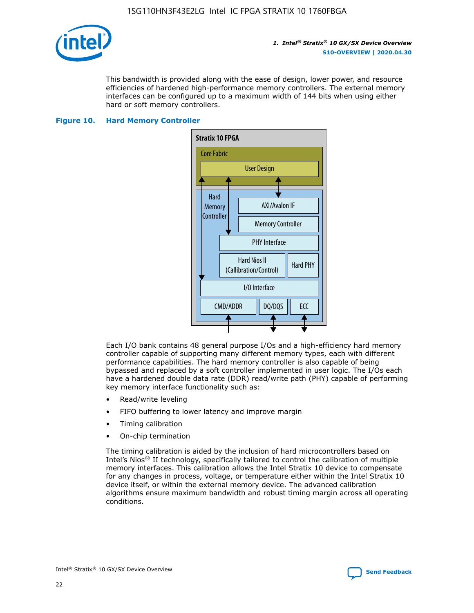

This bandwidth is provided along with the ease of design, lower power, and resource efficiencies of hardened high-performance memory controllers. The external memory interfaces can be configured up to a maximum width of 144 bits when using either hard or soft memory controllers.

## **Figure 10. Hard Memory Controller**



Each I/O bank contains 48 general purpose I/Os and a high-efficiency hard memory controller capable of supporting many different memory types, each with different performance capabilities. The hard memory controller is also capable of being bypassed and replaced by a soft controller implemented in user logic. The I/Os each have a hardened double data rate (DDR) read/write path (PHY) capable of performing key memory interface functionality such as:

- Read/write leveling
- FIFO buffering to lower latency and improve margin
- Timing calibration
- On-chip termination

The timing calibration is aided by the inclusion of hard microcontrollers based on Intel's Nios® II technology, specifically tailored to control the calibration of multiple memory interfaces. This calibration allows the Intel Stratix 10 device to compensate for any changes in process, voltage, or temperature either within the Intel Stratix 10 device itself, or within the external memory device. The advanced calibration algorithms ensure maximum bandwidth and robust timing margin across all operating conditions.

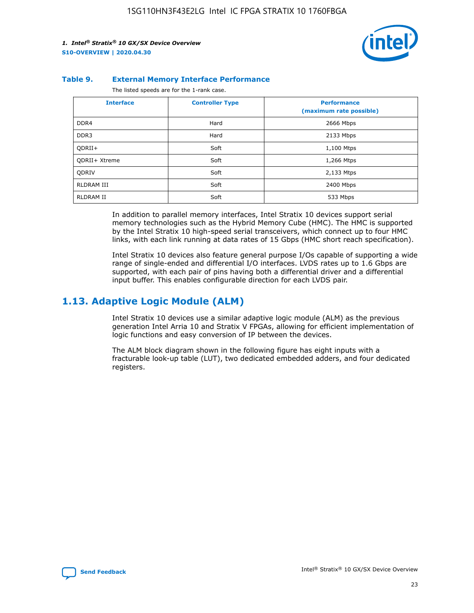

### **Table 9. External Memory Interface Performance**

The listed speeds are for the 1-rank case.

| <b>Interface</b> | <b>Controller Type</b> | <b>Performance</b><br>(maximum rate possible) |
|------------------|------------------------|-----------------------------------------------|
| DDR4             | Hard                   | 2666 Mbps                                     |
| DDR <sub>3</sub> | Hard                   | 2133 Mbps                                     |
| QDRII+           | Soft                   | 1,100 Mtps                                    |
| QDRII+ Xtreme    | Soft                   | 1,266 Mtps                                    |
| <b>ODRIV</b>     | Soft                   | 2,133 Mtps                                    |
| RLDRAM III       | Soft                   | 2400 Mbps                                     |
| <b>RLDRAM II</b> | Soft                   | 533 Mbps                                      |

In addition to parallel memory interfaces, Intel Stratix 10 devices support serial memory technologies such as the Hybrid Memory Cube (HMC). The HMC is supported by the Intel Stratix 10 high-speed serial transceivers, which connect up to four HMC links, with each link running at data rates of 15 Gbps (HMC short reach specification).

Intel Stratix 10 devices also feature general purpose I/Os capable of supporting a wide range of single-ended and differential I/O interfaces. LVDS rates up to 1.6 Gbps are supported, with each pair of pins having both a differential driver and a differential input buffer. This enables configurable direction for each LVDS pair.

## **1.13. Adaptive Logic Module (ALM)**

Intel Stratix 10 devices use a similar adaptive logic module (ALM) as the previous generation Intel Arria 10 and Stratix V FPGAs, allowing for efficient implementation of logic functions and easy conversion of IP between the devices.

The ALM block diagram shown in the following figure has eight inputs with a fracturable look-up table (LUT), two dedicated embedded adders, and four dedicated registers.

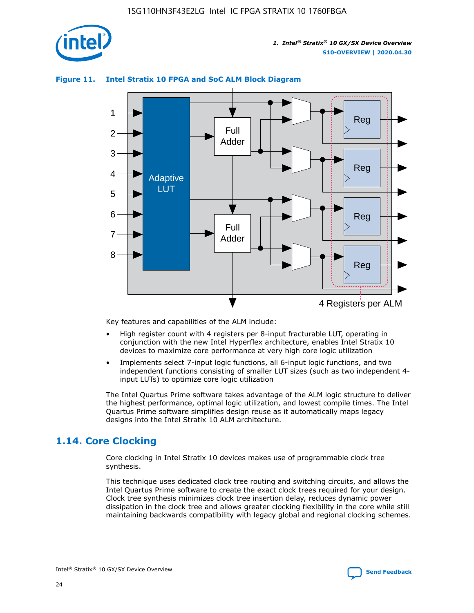

## **Figure 11. Intel Stratix 10 FPGA and SoC ALM Block Diagram**



Key features and capabilities of the ALM include:

- High register count with 4 registers per 8-input fracturable LUT, operating in conjunction with the new Intel Hyperflex architecture, enables Intel Stratix 10 devices to maximize core performance at very high core logic utilization
- Implements select 7-input logic functions, all 6-input logic functions, and two independent functions consisting of smaller LUT sizes (such as two independent 4 input LUTs) to optimize core logic utilization

The Intel Quartus Prime software takes advantage of the ALM logic structure to deliver the highest performance, optimal logic utilization, and lowest compile times. The Intel Quartus Prime software simplifies design reuse as it automatically maps legacy designs into the Intel Stratix 10 ALM architecture.

## **1.14. Core Clocking**

Core clocking in Intel Stratix 10 devices makes use of programmable clock tree synthesis.

This technique uses dedicated clock tree routing and switching circuits, and allows the Intel Quartus Prime software to create the exact clock trees required for your design. Clock tree synthesis minimizes clock tree insertion delay, reduces dynamic power dissipation in the clock tree and allows greater clocking flexibility in the core while still maintaining backwards compatibility with legacy global and regional clocking schemes.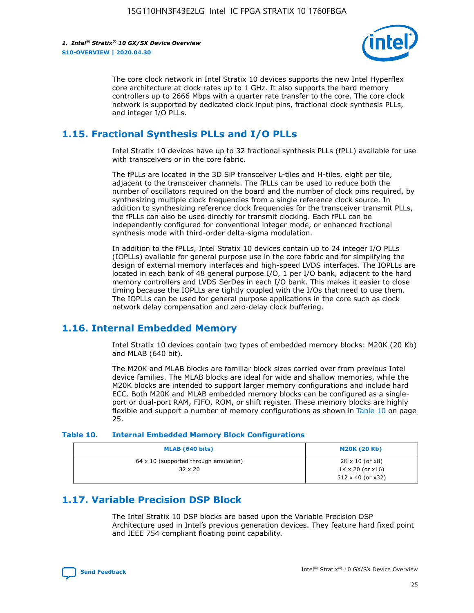

The core clock network in Intel Stratix 10 devices supports the new Intel Hyperflex core architecture at clock rates up to 1 GHz. It also supports the hard memory controllers up to 2666 Mbps with a quarter rate transfer to the core. The core clock network is supported by dedicated clock input pins, fractional clock synthesis PLLs, and integer I/O PLLs.

## **1.15. Fractional Synthesis PLLs and I/O PLLs**

Intel Stratix 10 devices have up to 32 fractional synthesis PLLs (fPLL) available for use with transceivers or in the core fabric.

The fPLLs are located in the 3D SiP transceiver L-tiles and H-tiles, eight per tile, adjacent to the transceiver channels. The fPLLs can be used to reduce both the number of oscillators required on the board and the number of clock pins required, by synthesizing multiple clock frequencies from a single reference clock source. In addition to synthesizing reference clock frequencies for the transceiver transmit PLLs, the fPLLs can also be used directly for transmit clocking. Each fPLL can be independently configured for conventional integer mode, or enhanced fractional synthesis mode with third-order delta-sigma modulation.

In addition to the fPLLs, Intel Stratix 10 devices contain up to 24 integer I/O PLLs (IOPLLs) available for general purpose use in the core fabric and for simplifying the design of external memory interfaces and high-speed LVDS interfaces. The IOPLLs are located in each bank of 48 general purpose I/O, 1 per I/O bank, adjacent to the hard memory controllers and LVDS SerDes in each I/O bank. This makes it easier to close timing because the IOPLLs are tightly coupled with the I/Os that need to use them. The IOPLLs can be used for general purpose applications in the core such as clock network delay compensation and zero-delay clock buffering.

## **1.16. Internal Embedded Memory**

Intel Stratix 10 devices contain two types of embedded memory blocks: M20K (20 Kb) and MLAB (640 bit).

The M20K and MLAB blocks are familiar block sizes carried over from previous Intel device families. The MLAB blocks are ideal for wide and shallow memories, while the M20K blocks are intended to support larger memory configurations and include hard ECC. Both M20K and MLAB embedded memory blocks can be configured as a singleport or dual-port RAM, FIFO, ROM, or shift register. These memory blocks are highly flexible and support a number of memory configurations as shown in Table 10 on page 25.

### **Table 10. Internal Embedded Memory Block Configurations**

| MLAB (640 bits)                                                | <b>M20K (20 Kb)</b>                                                                    |
|----------------------------------------------------------------|----------------------------------------------------------------------------------------|
| $64 \times 10$ (supported through emulation)<br>$32 \times 20$ | $2K \times 10$ (or $x8$ )<br>$1K \times 20$ (or $x16$ )<br>$512 \times 40$ (or $x32$ ) |

## **1.17. Variable Precision DSP Block**

The Intel Stratix 10 DSP blocks are based upon the Variable Precision DSP Architecture used in Intel's previous generation devices. They feature hard fixed point and IEEE 754 compliant floating point capability.

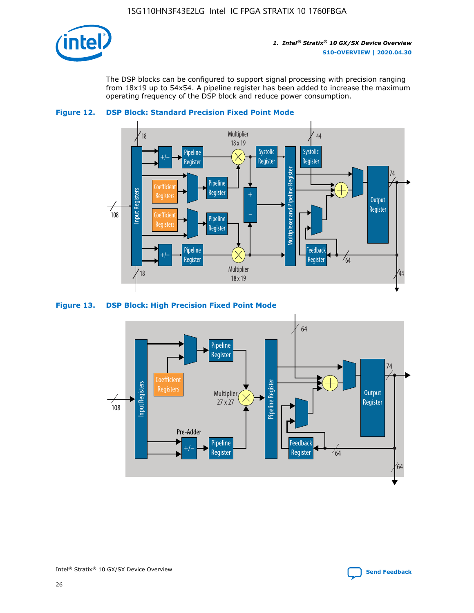

The DSP blocks can be configured to support signal processing with precision ranging from 18x19 up to 54x54. A pipeline register has been added to increase the maximum operating frequency of the DSP block and reduce power consumption.





#### **Figure 13. DSP Block: High Precision Fixed Point Mode**

![](_page_26_Figure_7.jpeg)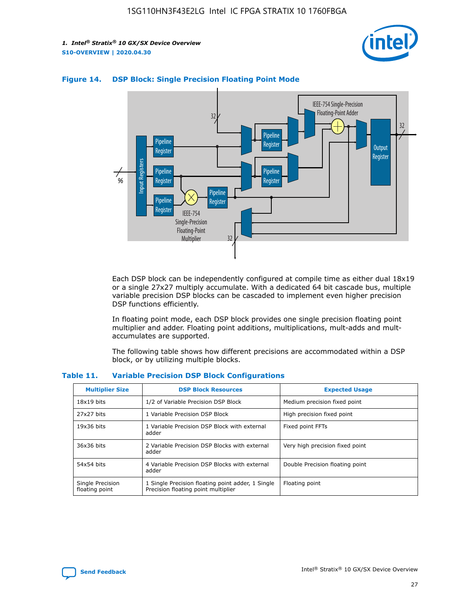![](_page_27_Picture_2.jpeg)

![](_page_27_Figure_3.jpeg)

## **Figure 14. DSP Block: Single Precision Floating Point Mode**

Each DSP block can be independently configured at compile time as either dual 18x19 or a single 27x27 multiply accumulate. With a dedicated 64 bit cascade bus, multiple variable precision DSP blocks can be cascaded to implement even higher precision DSP functions efficiently.

In floating point mode, each DSP block provides one single precision floating point multiplier and adder. Floating point additions, multiplications, mult-adds and multaccumulates are supported.

The following table shows how different precisions are accommodated within a DSP block, or by utilizing multiple blocks.

| <b>Multiplier Size</b>             | <b>DSP Block Resources</b>                                                               | <b>Expected Usage</b>           |
|------------------------------------|------------------------------------------------------------------------------------------|---------------------------------|
| $18x19$ bits                       | 1/2 of Variable Precision DSP Block                                                      | Medium precision fixed point    |
| 27x27 bits                         | 1 Variable Precision DSP Block                                                           | High precision fixed point      |
| $19x36$ bits                       | 1 Variable Precision DSP Block with external<br>adder                                    | Fixed point FFTs                |
| 36x36 bits                         | 2 Variable Precision DSP Blocks with external<br>adder                                   | Very high precision fixed point |
| 54x54 bits                         | 4 Variable Precision DSP Blocks with external<br>adder                                   | Double Precision floating point |
| Single Precision<br>floating point | 1 Single Precision floating point adder, 1 Single<br>Precision floating point multiplier | Floating point                  |

#### **Table 11. Variable Precision DSP Block Configurations**

![](_page_27_Picture_10.jpeg)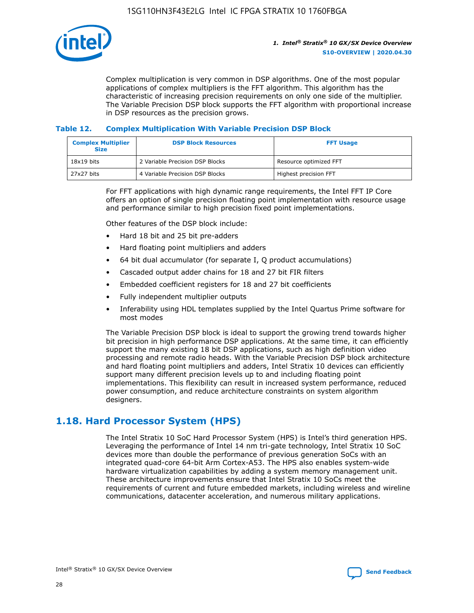![](_page_28_Picture_1.jpeg)

Complex multiplication is very common in DSP algorithms. One of the most popular applications of complex multipliers is the FFT algorithm. This algorithm has the characteristic of increasing precision requirements on only one side of the multiplier. The Variable Precision DSP block supports the FFT algorithm with proportional increase in DSP resources as the precision grows.

## **Table 12. Complex Multiplication With Variable Precision DSP Block**

| <b>Complex Multiplier</b><br><b>Size</b> | <b>DSP Block Resources</b>      | <b>FFT Usage</b>       |
|------------------------------------------|---------------------------------|------------------------|
| $18x19$ bits                             | 2 Variable Precision DSP Blocks | Resource optimized FFT |
| $27x27$ bits                             | 4 Variable Precision DSP Blocks | Highest precision FFT  |

For FFT applications with high dynamic range requirements, the Intel FFT IP Core offers an option of single precision floating point implementation with resource usage and performance similar to high precision fixed point implementations.

Other features of the DSP block include:

- Hard 18 bit and 25 bit pre-adders
- Hard floating point multipliers and adders
- 64 bit dual accumulator (for separate I, Q product accumulations)
- Cascaded output adder chains for 18 and 27 bit FIR filters
- Embedded coefficient registers for 18 and 27 bit coefficients
- Fully independent multiplier outputs
- Inferability using HDL templates supplied by the Intel Quartus Prime software for most modes

The Variable Precision DSP block is ideal to support the growing trend towards higher bit precision in high performance DSP applications. At the same time, it can efficiently support the many existing 18 bit DSP applications, such as high definition video processing and remote radio heads. With the Variable Precision DSP block architecture and hard floating point multipliers and adders, Intel Stratix 10 devices can efficiently support many different precision levels up to and including floating point implementations. This flexibility can result in increased system performance, reduced power consumption, and reduce architecture constraints on system algorithm designers.

## **1.18. Hard Processor System (HPS)**

The Intel Stratix 10 SoC Hard Processor System (HPS) is Intel's third generation HPS. Leveraging the performance of Intel 14 nm tri-gate technology, Intel Stratix 10 SoC devices more than double the performance of previous generation SoCs with an integrated quad-core 64-bit Arm Cortex-A53. The HPS also enables system-wide hardware virtualization capabilities by adding a system memory management unit. These architecture improvements ensure that Intel Stratix 10 SoCs meet the requirements of current and future embedded markets, including wireless and wireline communications, datacenter acceleration, and numerous military applications.

![](_page_28_Picture_18.jpeg)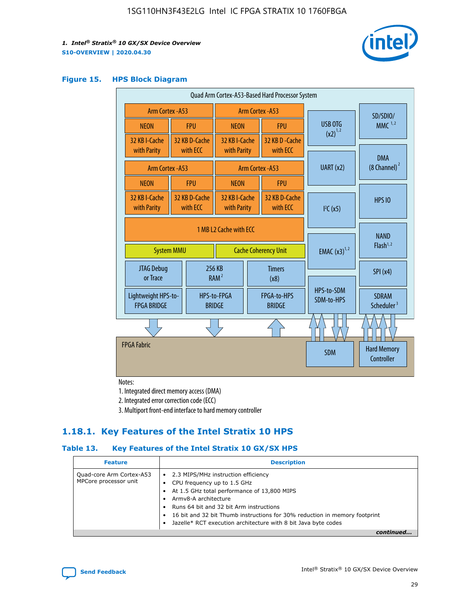![](_page_29_Picture_2.jpeg)

## **Figure 15. HPS Block Diagram**

| Quad Arm Cortex-A53-Based Hard Processor System                            |  |                           |                              |                                     |                              |                          |                                         |          |
|----------------------------------------------------------------------------|--|---------------------------|------------------------------|-------------------------------------|------------------------------|--------------------------|-----------------------------------------|----------|
| <b>Arm Cortex - A53</b>                                                    |  |                           | Arm Cortex - A53             |                                     |                              |                          |                                         | SD/SDIO/ |
| <b>NEON</b>                                                                |  | <b>FPU</b>                | <b>NEON</b>                  |                                     | <b>FPU</b>                   | USB OTG                  | $MMC$ <sup>1,2</sup>                    |          |
| 32 KB I-Cache                                                              |  | 32 KB D-Cache<br>with ECC | 32 KB I-Cache                |                                     | 32 KB D - Cache<br>with ECC  | $(x2)^{1,2}$             |                                         |          |
| with Parity                                                                |  |                           | with Parity                  |                                     |                              |                          | <b>DMA</b>                              |          |
| Arm Cortex - A53                                                           |  |                           |                              | Arm Cortex - A53                    |                              | UART (x2)                | $(8$ Channel) $^2$                      |          |
| <b>NEON</b>                                                                |  | <b>FPU</b>                | <b>NEON</b>                  |                                     | <b>FPU</b>                   |                          |                                         |          |
| 32 KB I-Cache<br>with Parity                                               |  | 32 KB D-Cache<br>with ECC | 32 KB I-Cache<br>with Parity |                                     | 32 KB D-Cache<br>with ECC    | I <sup>2</sup> C(x5)     | <b>HPS 10</b>                           |          |
| 1 MB L2 Cache with ECC<br><b>System MMU</b><br><b>Cache Coherency Unit</b> |  |                           | <b>EMAC</b> $(x3)^{1,2}$     | <b>NAND</b><br>Flash <sup>1,2</sup> |                              |                          |                                         |          |
| JTAG Debug<br>or Trace                                                     |  |                           | 256 KB<br>RAM <sup>2</sup>   |                                     | <b>Timers</b><br>(x8)        |                          | SPI(x4)                                 |          |
| Lightweight HPS-to-<br><b>FPGA BRIDGE</b>                                  |  |                           | HPS-to-FPGA<br><b>BRIDGE</b> |                                     | FPGA-to-HPS<br><b>BRIDGE</b> | HPS-to-SDM<br>SDM-to-HPS | <b>SDRAM</b><br>Scheduler <sup>3</sup>  |          |
|                                                                            |  |                           |                              |                                     |                              |                          |                                         |          |
| <b>FPGA Fabric</b>                                                         |  |                           |                              |                                     |                              | <b>SDM</b>               | <b>Hard Memory</b><br><b>Controller</b> |          |

Notes:

1. Integrated direct memory access (DMA)

2. Integrated error correction code (ECC)

3. Multiport front-end interface to hard memory controller

## **1.18.1. Key Features of the Intel Stratix 10 HPS**

## **Table 13. Key Features of the Intel Stratix 10 GX/SX HPS**

| <b>Feature</b>                                    | <b>Description</b>                                                                                                                                                                                                                                                                                                                                     |
|---------------------------------------------------|--------------------------------------------------------------------------------------------------------------------------------------------------------------------------------------------------------------------------------------------------------------------------------------------------------------------------------------------------------|
| Quad-core Arm Cortex-A53<br>MPCore processor unit | 2.3 MIPS/MHz instruction efficiency<br>$\bullet$<br>CPU frequency up to 1.5 GHz<br>٠<br>At 1.5 GHz total performance of 13,800 MIPS<br>Army8-A architecture<br>Runs 64 bit and 32 bit Arm instructions<br>16 bit and 32 bit Thumb instructions for 30% reduction in memory footprint<br>Jazelle* RCT execution architecture with 8 bit Java byte codes |
|                                                   |                                                                                                                                                                                                                                                                                                                                                        |

![](_page_29_Picture_12.jpeg)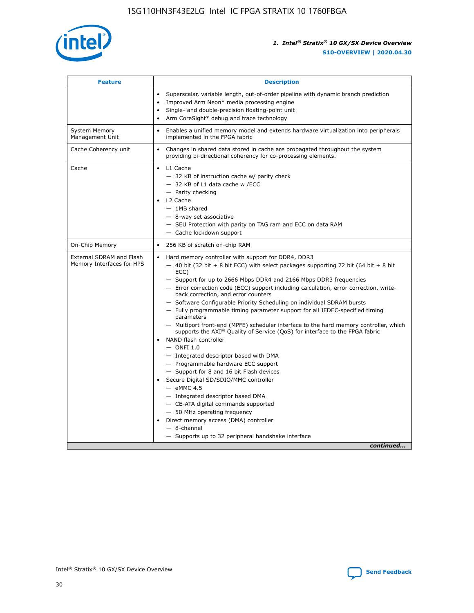![](_page_30_Picture_1.jpeg)

| <b>Feature</b>                                        | <b>Description</b>                                                                                                                                                                                                                                                                                                                                                                                                                                                                                                                                                                                                                                                                                                                                                                                                                                                                                                                                                                                                                                                                                                                                                                                               |
|-------------------------------------------------------|------------------------------------------------------------------------------------------------------------------------------------------------------------------------------------------------------------------------------------------------------------------------------------------------------------------------------------------------------------------------------------------------------------------------------------------------------------------------------------------------------------------------------------------------------------------------------------------------------------------------------------------------------------------------------------------------------------------------------------------------------------------------------------------------------------------------------------------------------------------------------------------------------------------------------------------------------------------------------------------------------------------------------------------------------------------------------------------------------------------------------------------------------------------------------------------------------------------|
|                                                       | Superscalar, variable length, out-of-order pipeline with dynamic branch prediction<br>Improved Arm Neon* media processing engine<br>Single- and double-precision floating-point unit<br>Arm CoreSight* debug and trace technology<br>$\bullet$                                                                                                                                                                                                                                                                                                                                                                                                                                                                                                                                                                                                                                                                                                                                                                                                                                                                                                                                                                   |
| <b>System Memory</b><br>Management Unit               | Enables a unified memory model and extends hardware virtualization into peripherals<br>implemented in the FPGA fabric                                                                                                                                                                                                                                                                                                                                                                                                                                                                                                                                                                                                                                                                                                                                                                                                                                                                                                                                                                                                                                                                                            |
| Cache Coherency unit                                  | Changes in shared data stored in cache are propagated throughout the system<br>$\bullet$<br>providing bi-directional coherency for co-processing elements.                                                                                                                                                                                                                                                                                                                                                                                                                                                                                                                                                                                                                                                                                                                                                                                                                                                                                                                                                                                                                                                       |
| Cache                                                 | L1 Cache<br>$\bullet$<br>- 32 KB of instruction cache w/ parity check<br>- 32 KB of L1 data cache w /ECC<br>- Parity checking<br>L <sub>2</sub> Cache<br>$-$ 1MB shared<br>$-$ 8-way set associative<br>- SEU Protection with parity on TAG ram and ECC on data RAM<br>- Cache lockdown support                                                                                                                                                                                                                                                                                                                                                                                                                                                                                                                                                                                                                                                                                                                                                                                                                                                                                                                  |
| On-Chip Memory                                        | 256 KB of scratch on-chip RAM                                                                                                                                                                                                                                                                                                                                                                                                                                                                                                                                                                                                                                                                                                                                                                                                                                                                                                                                                                                                                                                                                                                                                                                    |
| External SDRAM and Flash<br>Memory Interfaces for HPS | Hard memory controller with support for DDR4, DDR3<br>$\bullet$<br>$-$ 40 bit (32 bit + 8 bit ECC) with select packages supporting 72 bit (64 bit + 8 bit<br>ECC)<br>- Support for up to 2666 Mbps DDR4 and 2166 Mbps DDR3 frequencies<br>- Error correction code (ECC) support including calculation, error correction, write-<br>back correction, and error counters<br>- Software Configurable Priority Scheduling on individual SDRAM bursts<br>- Fully programmable timing parameter support for all JEDEC-specified timing<br>parameters<br>- Multiport front-end (MPFE) scheduler interface to the hard memory controller, which<br>supports the $AXI^{\circledR}$ Quality of Service (QoS) for interface to the FPGA fabric<br>NAND flash controller<br>$-$ ONFI 1.0<br>- Integrated descriptor based with DMA<br>- Programmable hardware ECC support<br>- Support for 8 and 16 bit Flash devices<br>Secure Digital SD/SDIO/MMC controller<br>$-$ eMMC 4.5<br>- Integrated descriptor based DMA<br>- CE-ATA digital commands supported<br>- 50 MHz operating frequency<br>Direct memory access (DMA) controller<br>٠<br>$-$ 8-channel<br>- Supports up to 32 peripheral handshake interface<br>continued |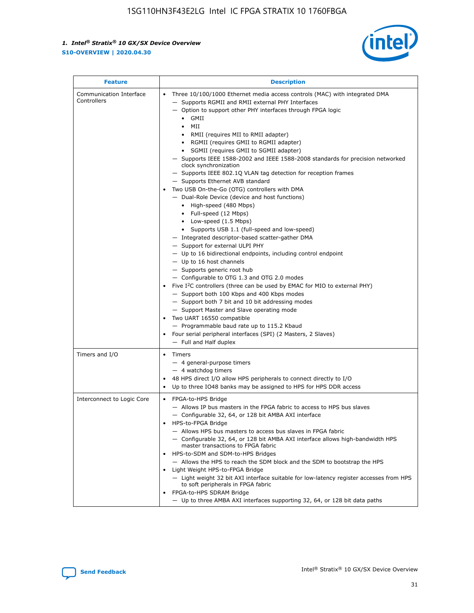![](_page_31_Picture_2.jpeg)

| <b>Feature</b>                         | <b>Description</b>                                                                                                                                                                                                                                                                                                                                                                                                                                                                                                                                                                                                                                                                                                                                                                                                                                                                                                                                                                                                                                                                                                                                                                                                                                                                                                                                                                                                                                                                                                     |
|----------------------------------------|------------------------------------------------------------------------------------------------------------------------------------------------------------------------------------------------------------------------------------------------------------------------------------------------------------------------------------------------------------------------------------------------------------------------------------------------------------------------------------------------------------------------------------------------------------------------------------------------------------------------------------------------------------------------------------------------------------------------------------------------------------------------------------------------------------------------------------------------------------------------------------------------------------------------------------------------------------------------------------------------------------------------------------------------------------------------------------------------------------------------------------------------------------------------------------------------------------------------------------------------------------------------------------------------------------------------------------------------------------------------------------------------------------------------------------------------------------------------------------------------------------------------|
| Communication Interface<br>Controllers | Three 10/100/1000 Ethernet media access controls (MAC) with integrated DMA<br>$\bullet$<br>- Supports RGMII and RMII external PHY Interfaces<br>- Option to support other PHY interfaces through FPGA logic<br>$\bullet$ GMII<br>MII<br>$\bullet$<br>RMII (requires MII to RMII adapter)<br>$\bullet$<br>• RGMII (requires GMII to RGMII adapter)<br>SGMII (requires GMII to SGMII adapter)<br>- Supports IEEE 1588-2002 and IEEE 1588-2008 standards for precision networked<br>clock synchronization<br>- Supports IEEE 802.1Q VLAN tag detection for reception frames<br>- Supports Ethernet AVB standard<br>Two USB On-the-Go (OTG) controllers with DMA<br>- Dual-Role Device (device and host functions)<br>• High-speed (480 Mbps)<br>• Full-speed (12 Mbps)<br>• Low-speed (1.5 Mbps)<br>• Supports USB 1.1 (full-speed and low-speed)<br>- Integrated descriptor-based scatter-gather DMA<br>- Support for external ULPI PHY<br>- Up to 16 bidirectional endpoints, including control endpoint<br>$-$ Up to 16 host channels<br>- Supports generic root hub<br>- Configurable to OTG 1.3 and OTG 2.0 modes<br>Five $I2C$ controllers (three can be used by EMAC for MIO to external PHY)<br>- Support both 100 Kbps and 400 Kbps modes<br>- Support both 7 bit and 10 bit addressing modes<br>- Support Master and Slave operating mode<br>Two UART 16550 compatible<br>- Programmable baud rate up to 115.2 Kbaud<br>Four serial peripheral interfaces (SPI) (2 Masters, 2 Slaves)<br>- Full and Half duplex |
| Timers and I/O                         | Timers<br>$\bullet$<br>- 4 general-purpose timers<br>$-4$ watchdog timers<br>48 HPS direct I/O allow HPS peripherals to connect directly to I/O<br>Up to three IO48 banks may be assigned to HPS for HPS DDR access                                                                                                                                                                                                                                                                                                                                                                                                                                                                                                                                                                                                                                                                                                                                                                                                                                                                                                                                                                                                                                                                                                                                                                                                                                                                                                    |
| Interconnect to Logic Core             | • FPGA-to-HPS Bridge<br>- Allows IP bus masters in the FPGA fabric to access to HPS bus slaves<br>- Configurable 32, 64, or 128 bit AMBA AXI interface<br>HPS-to-FPGA Bridge<br>- Allows HPS bus masters to access bus slaves in FPGA fabric<br>- Configurable 32, 64, or 128 bit AMBA AXI interface allows high-bandwidth HPS<br>master transactions to FPGA fabric<br>HPS-to-SDM and SDM-to-HPS Bridges<br>- Allows the HPS to reach the SDM block and the SDM to bootstrap the HPS<br>Light Weight HPS-to-FPGA Bridge<br>- Light weight 32 bit AXI interface suitable for low-latency register accesses from HPS<br>to soft peripherals in FPGA fabric<br>FPGA-to-HPS SDRAM Bridge<br>- Up to three AMBA AXI interfaces supporting 32, 64, or 128 bit data paths                                                                                                                                                                                                                                                                                                                                                                                                                                                                                                                                                                                                                                                                                                                                                    |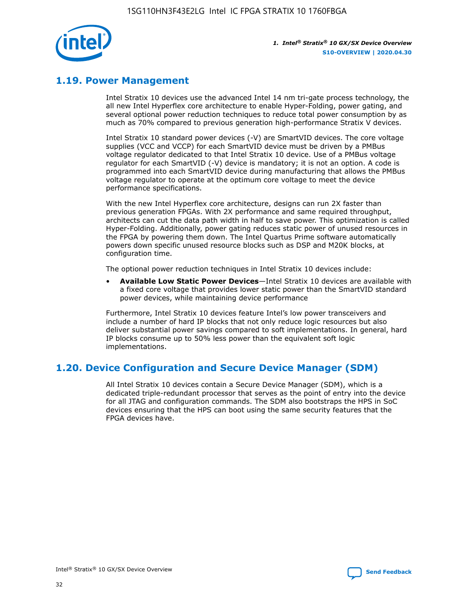![](_page_32_Picture_1.jpeg)

## **1.19. Power Management**

Intel Stratix 10 devices use the advanced Intel 14 nm tri-gate process technology, the all new Intel Hyperflex core architecture to enable Hyper-Folding, power gating, and several optional power reduction techniques to reduce total power consumption by as much as 70% compared to previous generation high-performance Stratix V devices.

Intel Stratix 10 standard power devices (-V) are SmartVID devices. The core voltage supplies (VCC and VCCP) for each SmartVID device must be driven by a PMBus voltage regulator dedicated to that Intel Stratix 10 device. Use of a PMBus voltage regulator for each SmartVID (-V) device is mandatory; it is not an option. A code is programmed into each SmartVID device during manufacturing that allows the PMBus voltage regulator to operate at the optimum core voltage to meet the device performance specifications.

With the new Intel Hyperflex core architecture, designs can run 2X faster than previous generation FPGAs. With 2X performance and same required throughput, architects can cut the data path width in half to save power. This optimization is called Hyper-Folding. Additionally, power gating reduces static power of unused resources in the FPGA by powering them down. The Intel Quartus Prime software automatically powers down specific unused resource blocks such as DSP and M20K blocks, at configuration time.

The optional power reduction techniques in Intel Stratix 10 devices include:

• **Available Low Static Power Devices**—Intel Stratix 10 devices are available with a fixed core voltage that provides lower static power than the SmartVID standard power devices, while maintaining device performance

Furthermore, Intel Stratix 10 devices feature Intel's low power transceivers and include a number of hard IP blocks that not only reduce logic resources but also deliver substantial power savings compared to soft implementations. In general, hard IP blocks consume up to 50% less power than the equivalent soft logic implementations.

## **1.20. Device Configuration and Secure Device Manager (SDM)**

All Intel Stratix 10 devices contain a Secure Device Manager (SDM), which is a dedicated triple-redundant processor that serves as the point of entry into the device for all JTAG and configuration commands. The SDM also bootstraps the HPS in SoC devices ensuring that the HPS can boot using the same security features that the FPGA devices have.

![](_page_32_Picture_12.jpeg)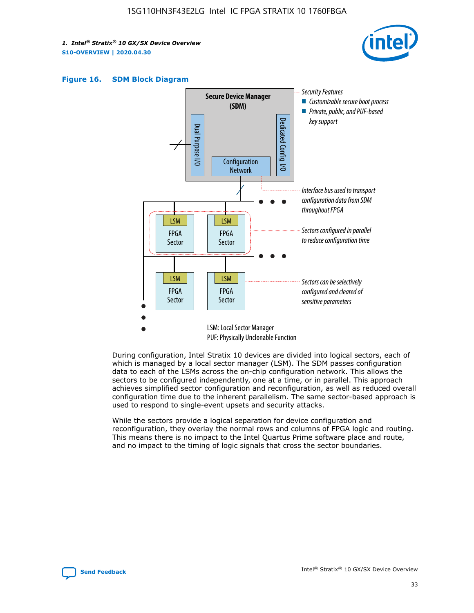![](_page_33_Picture_2.jpeg)

![](_page_33_Figure_3.jpeg)

![](_page_33_Figure_4.jpeg)

During configuration, Intel Stratix 10 devices are divided into logical sectors, each of which is managed by a local sector manager (LSM). The SDM passes configuration data to each of the LSMs across the on-chip configuration network. This allows the sectors to be configured independently, one at a time, or in parallel. This approach achieves simplified sector configuration and reconfiguration, as well as reduced overall configuration time due to the inherent parallelism. The same sector-based approach is used to respond to single-event upsets and security attacks.

While the sectors provide a logical separation for device configuration and reconfiguration, they overlay the normal rows and columns of FPGA logic and routing. This means there is no impact to the Intel Quartus Prime software place and route, and no impact to the timing of logic signals that cross the sector boundaries.

![](_page_33_Picture_7.jpeg)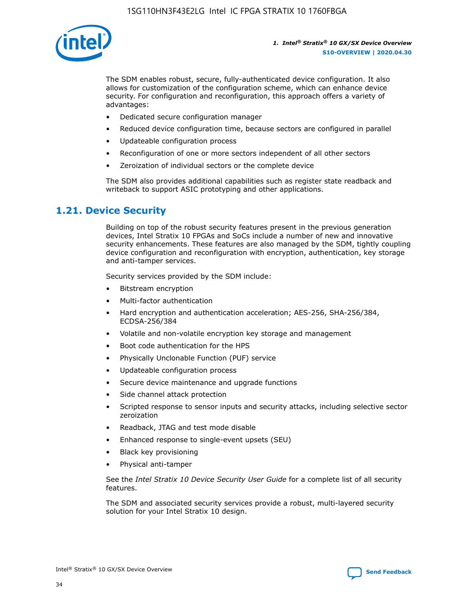![](_page_34_Picture_1.jpeg)

The SDM enables robust, secure, fully-authenticated device configuration. It also allows for customization of the configuration scheme, which can enhance device security. For configuration and reconfiguration, this approach offers a variety of advantages:

- Dedicated secure configuration manager
- Reduced device configuration time, because sectors are configured in parallel
- Updateable configuration process
- Reconfiguration of one or more sectors independent of all other sectors
- Zeroization of individual sectors or the complete device

The SDM also provides additional capabilities such as register state readback and writeback to support ASIC prototyping and other applications.

## **1.21. Device Security**

Building on top of the robust security features present in the previous generation devices, Intel Stratix 10 FPGAs and SoCs include a number of new and innovative security enhancements. These features are also managed by the SDM, tightly coupling device configuration and reconfiguration with encryption, authentication, key storage and anti-tamper services.

Security services provided by the SDM include:

- Bitstream encryption
- Multi-factor authentication
- Hard encryption and authentication acceleration; AES-256, SHA-256/384, ECDSA-256/384
- Volatile and non-volatile encryption key storage and management
- Boot code authentication for the HPS
- Physically Unclonable Function (PUF) service
- Updateable configuration process
- Secure device maintenance and upgrade functions
- Side channel attack protection
- Scripted response to sensor inputs and security attacks, including selective sector zeroization
- Readback, JTAG and test mode disable
- Enhanced response to single-event upsets (SEU)
- Black key provisioning
- Physical anti-tamper

See the *Intel Stratix 10 Device Security User Guide* for a complete list of all security features.

The SDM and associated security services provide a robust, multi-layered security solution for your Intel Stratix 10 design.

![](_page_34_Picture_29.jpeg)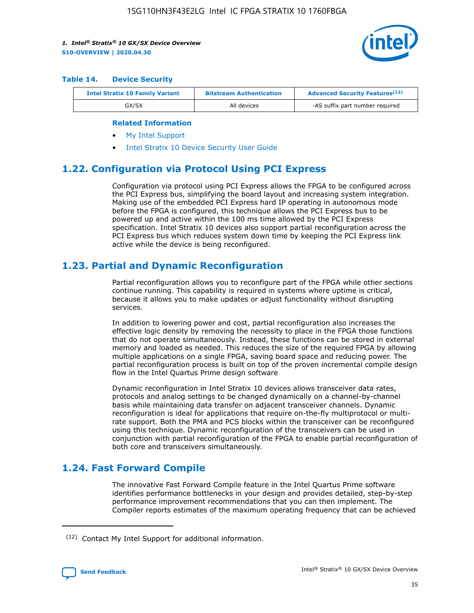![](_page_35_Picture_2.jpeg)

#### **Table 14. Device Security**

| <b>Intel Stratix 10 Family Variant</b> | <b>Bitstream Authentication</b> | <b>Advanced Security Features</b> <sup>(12)</sup> |
|----------------------------------------|---------------------------------|---------------------------------------------------|
| GX/SX                                  | All devices                     | -AS suffix part number required                   |

#### **Related Information**

- [My Intel Support](https://www.intel.com/content/www/us/en/programmable/my-intel/mal-home.html)
- [Intel Stratix 10 Device Security User Guide](https://www.intel.com/content/www/us/en/programmable/documentation/ndq1483601370898.html#wcd1483611014402)

## **1.22. Configuration via Protocol Using PCI Express**

Configuration via protocol using PCI Express allows the FPGA to be configured across the PCI Express bus, simplifying the board layout and increasing system integration. Making use of the embedded PCI Express hard IP operating in autonomous mode before the FPGA is configured, this technique allows the PCI Express bus to be powered up and active within the 100 ms time allowed by the PCI Express specification. Intel Stratix 10 devices also support partial reconfiguration across the PCI Express bus which reduces system down time by keeping the PCI Express link active while the device is being reconfigured.

## **1.23. Partial and Dynamic Reconfiguration**

Partial reconfiguration allows you to reconfigure part of the FPGA while other sections continue running. This capability is required in systems where uptime is critical, because it allows you to make updates or adjust functionality without disrupting services.

In addition to lowering power and cost, partial reconfiguration also increases the effective logic density by removing the necessity to place in the FPGA those functions that do not operate simultaneously. Instead, these functions can be stored in external memory and loaded as needed. This reduces the size of the required FPGA by allowing multiple applications on a single FPGA, saving board space and reducing power. The partial reconfiguration process is built on top of the proven incremental compile design flow in the Intel Quartus Prime design software

Dynamic reconfiguration in Intel Stratix 10 devices allows transceiver data rates, protocols and analog settings to be changed dynamically on a channel-by-channel basis while maintaining data transfer on adjacent transceiver channels. Dynamic reconfiguration is ideal for applications that require on-the-fly multiprotocol or multirate support. Both the PMA and PCS blocks within the transceiver can be reconfigured using this technique. Dynamic reconfiguration of the transceivers can be used in conjunction with partial reconfiguration of the FPGA to enable partial reconfiguration of both core and transceivers simultaneously.

## **1.24. Fast Forward Compile**

The innovative Fast Forward Compile feature in the Intel Quartus Prime software identifies performance bottlenecks in your design and provides detailed, step-by-step performance improvement recommendations that you can then implement. The Compiler reports estimates of the maximum operating frequency that can be achieved

<sup>(12)</sup> Contact My Intel Support for additional information.

![](_page_35_Picture_17.jpeg)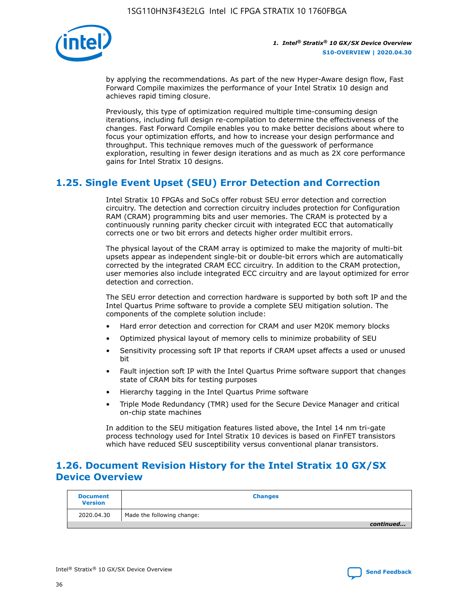![](_page_36_Picture_1.jpeg)

by applying the recommendations. As part of the new Hyper-Aware design flow, Fast Forward Compile maximizes the performance of your Intel Stratix 10 design and achieves rapid timing closure.

Previously, this type of optimization required multiple time-consuming design iterations, including full design re-compilation to determine the effectiveness of the changes. Fast Forward Compile enables you to make better decisions about where to focus your optimization efforts, and how to increase your design performance and throughput. This technique removes much of the guesswork of performance exploration, resulting in fewer design iterations and as much as 2X core performance gains for Intel Stratix 10 designs.

## **1.25. Single Event Upset (SEU) Error Detection and Correction**

Intel Stratix 10 FPGAs and SoCs offer robust SEU error detection and correction circuitry. The detection and correction circuitry includes protection for Configuration RAM (CRAM) programming bits and user memories. The CRAM is protected by a continuously running parity checker circuit with integrated ECC that automatically corrects one or two bit errors and detects higher order multibit errors.

The physical layout of the CRAM array is optimized to make the majority of multi-bit upsets appear as independent single-bit or double-bit errors which are automatically corrected by the integrated CRAM ECC circuitry. In addition to the CRAM protection, user memories also include integrated ECC circuitry and are layout optimized for error detection and correction.

The SEU error detection and correction hardware is supported by both soft IP and the Intel Quartus Prime software to provide a complete SEU mitigation solution. The components of the complete solution include:

- Hard error detection and correction for CRAM and user M20K memory blocks
- Optimized physical layout of memory cells to minimize probability of SEU
- Sensitivity processing soft IP that reports if CRAM upset affects a used or unused bit
- Fault injection soft IP with the Intel Quartus Prime software support that changes state of CRAM bits for testing purposes
- Hierarchy tagging in the Intel Quartus Prime software
- Triple Mode Redundancy (TMR) used for the Secure Device Manager and critical on-chip state machines

In addition to the SEU mitigation features listed above, the Intel 14 nm tri-gate process technology used for Intel Stratix 10 devices is based on FinFET transistors which have reduced SEU susceptibility versus conventional planar transistors.

## **1.26. Document Revision History for the Intel Stratix 10 GX/SX Device Overview**

| <b>Document</b><br><b>Version</b> | <b>Changes</b>             |
|-----------------------------------|----------------------------|
| 2020.04.30                        | Made the following change: |
|                                   | continued                  |

![](_page_36_Picture_19.jpeg)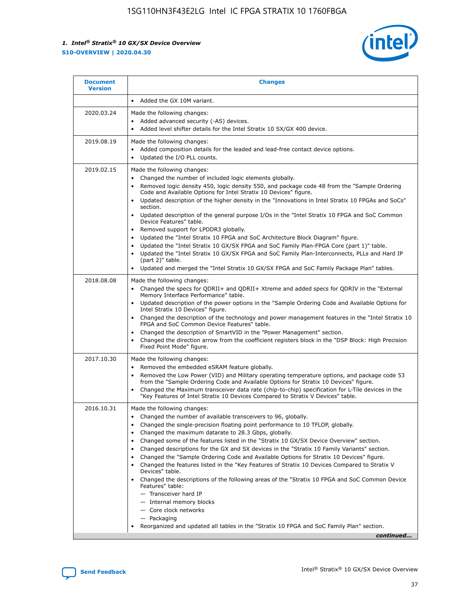![](_page_37_Picture_2.jpeg)

| <b>Document</b><br><b>Version</b> | <b>Changes</b>                                                                                                                                                                                                                                                                                                                                                                                                                                                                                                                                                                                                                                                                                                                                                                                                                                                                                                                                                                                       |
|-----------------------------------|------------------------------------------------------------------------------------------------------------------------------------------------------------------------------------------------------------------------------------------------------------------------------------------------------------------------------------------------------------------------------------------------------------------------------------------------------------------------------------------------------------------------------------------------------------------------------------------------------------------------------------------------------------------------------------------------------------------------------------------------------------------------------------------------------------------------------------------------------------------------------------------------------------------------------------------------------------------------------------------------------|
|                                   | • Added the GX 10M variant.                                                                                                                                                                                                                                                                                                                                                                                                                                                                                                                                                                                                                                                                                                                                                                                                                                                                                                                                                                          |
| 2020.03.24                        | Made the following changes:<br>Added advanced security (-AS) devices.<br>Added level shifter details for the Intel Stratix 10 SX/GX 400 device.                                                                                                                                                                                                                                                                                                                                                                                                                                                                                                                                                                                                                                                                                                                                                                                                                                                      |
| 2019.08.19                        | Made the following changes:<br>Added composition details for the leaded and lead-free contact device options.<br>$\bullet$<br>Updated the I/O PLL counts.<br>$\bullet$                                                                                                                                                                                                                                                                                                                                                                                                                                                                                                                                                                                                                                                                                                                                                                                                                               |
| 2019.02.15                        | Made the following changes:<br>Changed the number of included logic elements globally.<br>Removed logic density 450, logic density 550, and package code 48 from the "Sample Ordering<br>$\bullet$<br>Code and Available Options for Intel Stratix 10 Devices" figure.<br>Updated description of the higher density in the "Innovations in Intel Stratix 10 FPGAs and SoCs"<br>section.<br>Updated description of the general purpose I/Os in the "Intel Stratix 10 FPGA and SoC Common<br>Device Features" table.<br>Removed support for LPDDR3 globally.<br>Updated the "Intel Stratix 10 FPGA and SoC Architecture Block Diagram" figure.<br>$\bullet$<br>Updated the "Intel Stratix 10 GX/SX FPGA and SoC Family Plan-FPGA Core (part 1)" table.<br>$\bullet$<br>Updated the "Intel Stratix 10 GX/SX FPGA and SoC Family Plan-Interconnects, PLLs and Hard IP<br>(part 2)" table.<br>Updated and merged the "Intel Stratix 10 GX/SX FPGA and SoC Family Package Plan" tables.                    |
| 2018.08.08                        | Made the following changes:<br>Changed the specs for QDRII+ and QDRII+ Xtreme and added specs for QDRIV in the "External<br>$\bullet$<br>Memory Interface Performance" table.<br>Updated description of the power options in the "Sample Ordering Code and Available Options for<br>Intel Stratix 10 Devices" figure.<br>Changed the description of the technology and power management features in the "Intel Stratix 10<br>FPGA and SoC Common Device Features" table.<br>Changed the description of SmartVID in the "Power Management" section.<br>Changed the direction arrow from the coefficient registers block in the "DSP Block: High Precision<br>Fixed Point Mode" figure.                                                                                                                                                                                                                                                                                                                |
| 2017.10.30                        | Made the following changes:<br>Removed the embedded eSRAM feature globally.<br>$\bullet$<br>Removed the Low Power (VID) and Military operating temperature options, and package code 53<br>$\bullet$<br>from the "Sample Ordering Code and Available Options for Stratix 10 Devices" figure.<br>Changed the Maximum transceiver data rate (chip-to-chip) specification for L-Tile devices in the<br>$\bullet$<br>"Key Features of Intel Stratix 10 Devices Compared to Stratix V Devices" table.                                                                                                                                                                                                                                                                                                                                                                                                                                                                                                     |
| 2016.10.31                        | Made the following changes:<br>• Changed the number of available transceivers to 96, globally.<br>Changed the single-precision floating point performance to 10 TFLOP, globally.<br>Changed the maximum datarate to 28.3 Gbps, globally.<br>$\bullet$<br>Changed some of the features listed in the "Stratix 10 GX/SX Device Overview" section.<br>$\bullet$<br>Changed descriptions for the GX and SX devices in the "Stratix 10 Family Variants" section.<br>$\bullet$<br>Changed the "Sample Ordering Code and Available Options for Stratix 10 Devices" figure.<br>Changed the features listed in the "Key Features of Stratix 10 Devices Compared to Stratix V<br>Devices" table.<br>Changed the descriptions of the following areas of the "Stratix 10 FPGA and SoC Common Device<br>Features" table:<br>- Transceiver hard IP<br>- Internal memory blocks<br>- Core clock networks<br>- Packaging<br>Reorganized and updated all tables in the "Stratix 10 FPGA and SoC Family Plan" section. |
|                                   | continued                                                                                                                                                                                                                                                                                                                                                                                                                                                                                                                                                                                                                                                                                                                                                                                                                                                                                                                                                                                            |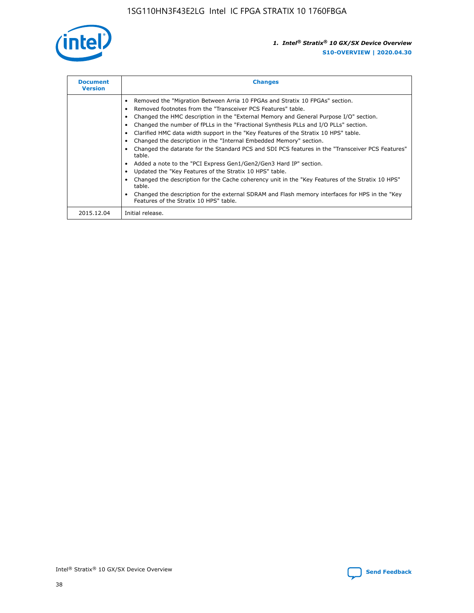![](_page_38_Picture_1.jpeg)

| <b>Document</b><br><b>Version</b> | <b>Changes</b>                                                                                                                                                                                                                                                                                                                                                                                                                                                                                                                                                                                                                                                                                                                                                                                                                                                                                                                                                                                     |
|-----------------------------------|----------------------------------------------------------------------------------------------------------------------------------------------------------------------------------------------------------------------------------------------------------------------------------------------------------------------------------------------------------------------------------------------------------------------------------------------------------------------------------------------------------------------------------------------------------------------------------------------------------------------------------------------------------------------------------------------------------------------------------------------------------------------------------------------------------------------------------------------------------------------------------------------------------------------------------------------------------------------------------------------------|
|                                   | Removed the "Migration Between Arria 10 FPGAs and Stratix 10 FPGAs" section.<br>Removed footnotes from the "Transceiver PCS Features" table.<br>Changed the HMC description in the "External Memory and General Purpose I/O" section.<br>Changed the number of fPLLs in the "Fractional Synthesis PLLs and I/O PLLs" section.<br>Clarified HMC data width support in the "Key Features of the Stratix 10 HPS" table.<br>Changed the description in the "Internal Embedded Memory" section.<br>Changed the datarate for the Standard PCS and SDI PCS features in the "Transceiver PCS Features"<br>table.<br>Added a note to the "PCI Express Gen1/Gen2/Gen3 Hard IP" section.<br>Updated the "Key Features of the Stratix 10 HPS" table.<br>Changed the description for the Cache coherency unit in the "Key Features of the Stratix 10 HPS"<br>table.<br>Changed the description for the external SDRAM and Flash memory interfaces for HPS in the "Key<br>Features of the Stratix 10 HPS" table. |
| 2015.12.04                        | Initial release.                                                                                                                                                                                                                                                                                                                                                                                                                                                                                                                                                                                                                                                                                                                                                                                                                                                                                                                                                                                   |

![](_page_38_Picture_4.jpeg)